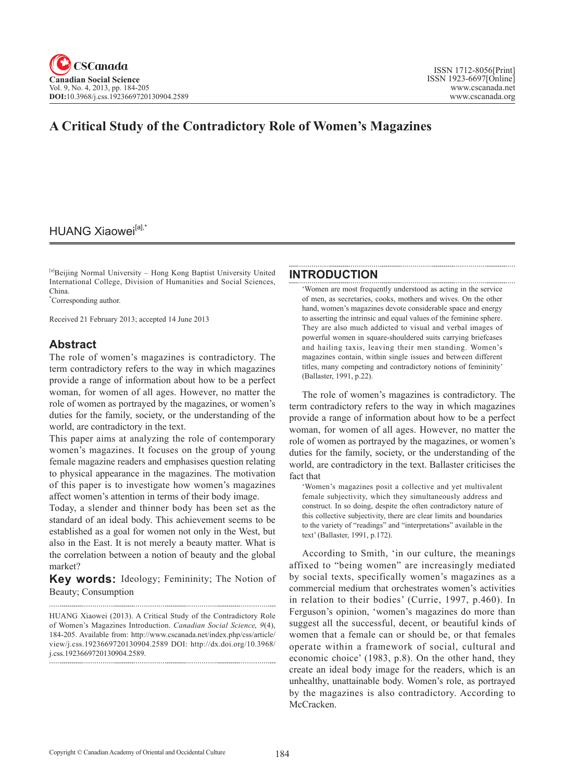# **A Critical Study of the Contradictory Role of Women's Magazines**

# HUANG Xiaowei<sup>[a],\*</sup>

[a]Beijing Normal University – Hong Kong Baptist University United International College, Division of Humanities and Social Sciences, China.

\* Corresponding author.

Received 21 February 2013; accepted 14 June 2013

# **Abstract**

The role of women's magazines is contradictory. The term contradictory refers to the way in which magazines provide a range of information about how to be a perfect woman, for women of all ages. However, no matter the role of women as portrayed by the magazines, or women's duties for the family, society, or the understanding of the world, are contradictory in the text.

This paper aims at analyzing the role of contemporary women's magazines. It focuses on the group of young female magazine readers and emphasises question relating to physical appearance in the magazines. The motivation of this paper is to investigate how women's magazines affect women's attention in terms of their body image.

Today, a slender and thinner body has been set as the standard of an ideal body. This achievement seems to be established as a goal for women not only in the West, but also in the East. It is not merely a beauty matter. What is the correlation between a notion of beauty and the global market?

**Key words:** Ideology; Femininity; The Notion of Beauty; Consumption

## **INTRODUCTION**

'Women are most frequently understood as acting in the service of men, as secretaries, cooks, mothers and wives. On the other hand, women's magazines devote considerable space and energy to asserting the intrinsic and equal values of the feminine sphere. They are also much addicted to visual and verbal images of powerful women in square-shouldered suits carrying briefcases and hailing taxis, leaving their men standing. Women's magazines contain, within single issues and between different titles, many competing and contradictory notions of femininity' (Ballaster, 1991, p.22).

The role of women's magazines is contradictory. The term contradictory refers to the way in which magazines provide a range of information about how to be a perfect woman, for women of all ages. However, no matter the role of women as portrayed by the magazines, or women's duties for the family, society, or the understanding of the world, are contradictory in the text. Ballaster criticises the fact that

'Women's magazines posit a collective and yet multivalent female subjectivity, which they simultaneously address and construct. In so doing, despite the often contradictory nature of this collective subjectivity, there are clear limits and boundaries to the variety of "readings" and "interpretations" available in the text' (Ballaster, 1991, p.172).

According to Smith, 'in our culture, the meanings affixed to "being women" are increasingly mediated by social texts, specifically women's magazines as a commercial medium that orchestrates women's activities in relation to their bodies' (Currie, 1997, p.460). In Ferguson's opinion, 'women's magazines do more than suggest all the successful, decent, or beautiful kinds of women that a female can or should be, or that females operate within a framework of social, cultural and economic choice' (1983, p.8). On the other hand, they create an ideal body image for the readers, which is an unhealthy, unattainable body. Women's role, as portrayed by the magazines is also contradictory. According to McCracken.

HUANG Xiaowei (2013). A Critical Study of the Contradictory Role of Women's Magazines Introduction. *Canadian Social Science*, <sup>9</sup>(4), 184-205. Available from: http://www.cscanada.net/index.php/css/article/ view/j.css.1923669720130904.2589 DOI: http://dx.doi.org/10.3968/ j.css.1923669720130904.2589.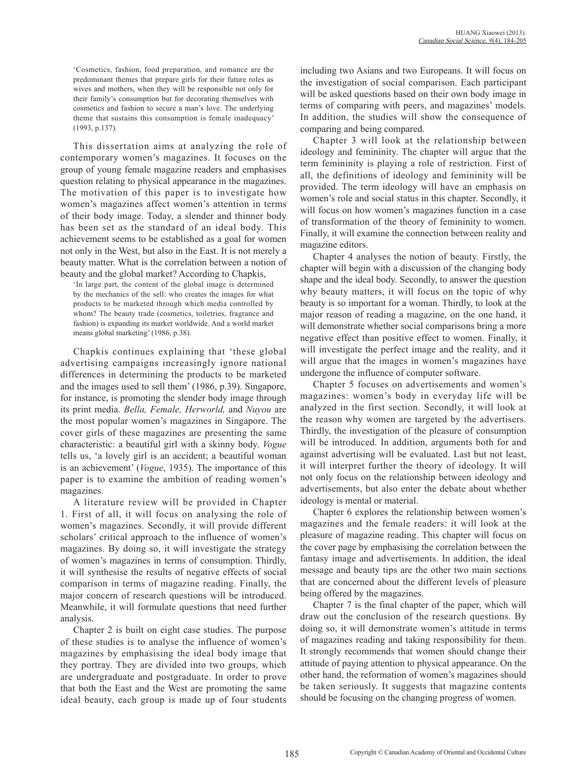'Cosmetics, fashion, food preparation, and romance are the predominant themes that prepare girls for their future roles as wives and mothers, when they will be responsible not only for their family's consumption but for decorating themselves with cosmetics and fashion to secure a man's love. The underlying theme that sustains this consumption is female inadequacy' (1993, p.137).

This dissertation aims at analyzing the role of contemporary women's magazines. It focuses on the group of young female magazine readers and emphasises question relating to physical appearance in the magazines. The motivation of this paper is to investigate how women's magazines affect women's attention in terms of their body image. Today, a slender and thinner body has been set as the standard of an ideal body. This achievement seems to be established as a goal for women not only in the West, but also in the East. It is not merely a beauty matter. What is the correlation between a notion of beauty and the global market? According to Chapkis,

'In large part, the content of the global image is determined by the mechanics of the sell: who creates the images for what products to be marketed through which media controlled by whom? The beauty trade (cosmetics, toiletries, fragrance and fashion) is expanding its market worldwide. And a world market means global marketing' (1986, p.38).

Chapkis continues explaining that 'these global advertising campaigns increasingly ignore national differences in determining the products to be marketed and the images used to sell them' (1986, p.39). Singapore, for instance, is promoting the slender body image through its print media. *Bella, Female, Herworld,* and *Nuyou* are the most popular women's magazines in Singapore. The cover girls of these magazines are presenting the same characteristic: a beautiful girl with a skinny body. *Vogue* tells us, 'a lovely girl is an accident; a beautiful woman is an achievement' (*Vogue*, 1935). The importance of this paper is to examine the ambition of reading women's magazines.

A literature review will be provided in Chapter 1. First of all, it will focus on analysing the role of women's magazines. Secondly, it will provide different scholars' critical approach to the influence of women's magazines. By doing so, it will investigate the strategy of women's magazines in terms of consumption. Thirdly, it will synthesise the results of negative effects of social comparison in terms of magazine reading. Finally, the major concern of research questions will be introduced. Meanwhile, it will formulate questions that need further analysis.

Chapter 2 is built on eight case studies. The purpose of these studies is to analyse the influence of women's magazines by emphasising the ideal body image that they portray. They are divided into two groups, which are undergraduate and postgraduate. In order to prove that both the East and the West are promoting the same ideal beauty, each group is made up of four students including two Asians and two Europeans. It will focus on the investigation of social comparison. Each participant will be asked questions based on their own body image in terms of comparing with peers, and magazines' models. In addition, the studies will show the consequence of comparing and being compared.

Chapter 3 will look at the relationship between ideology and femininity. The chapter will argue that the term femininity is playing a role of restriction. First of all, the definitions of ideology and femininity will be provided. The term ideology will have an emphasis on women's role and social status in this chapter. Secondly, it will focus on how women's magazines function in a case of transformation of the theory of femininity to women. Finally, it will examine the connection between reality and magazine editors.

Chapter 4 analyses the notion of beauty. Firstly, the chapter will begin with a discussion of the changing body shape and the ideal body. Secondly, to answer the question why beauty matters, it will focus on the topic of why beauty is so important for a woman. Thirdly, to look at the major reason of reading a magazine, on the one hand, it will demonstrate whether social comparisons bring a more negative effect than positive effect to women. Finally, it will investigate the perfect image and the reality, and it will argue that the images in women's magazines have undergone the influence of computer software.

Chapter 5 focuses on advertisements and women's magazines: women's body in everyday life will be analyzed in the first section. Secondly, it will look at the reason why women are targeted by the advertisers. Thirdly, the investigation of the pleasure of consumption will be introduced. In addition, arguments both for and against advertising will be evaluated. Last but not least, it will interpret further the theory of ideology. It will not only focus on the relationship between ideology and advertisements, but also enter the debate about whether ideology is mental or material.

Chapter 6 explores the relationship between women's magazines and the female readers: it will look at the pleasure of magazine reading. This chapter will focus on the cover page by emphasising the correlation between the fantasy image and advertisements. In addition, the ideal message and beauty tips are the other two main sections that are concerned about the different levels of pleasure being offered by the magazines.

Chapter 7 is the final chapter of the paper, which will draw out the conclusion of the research questions. By doing so, it will demonstrate women's attitude in terms of magazines reading and taking responsibility for them. It strongly recommends that women should change their attitude of paying attention to physical appearance. On the other hand, the reformation of women's magazines should be taken seriously. It suggests that magazine contents should be focusing on the changing progress of women.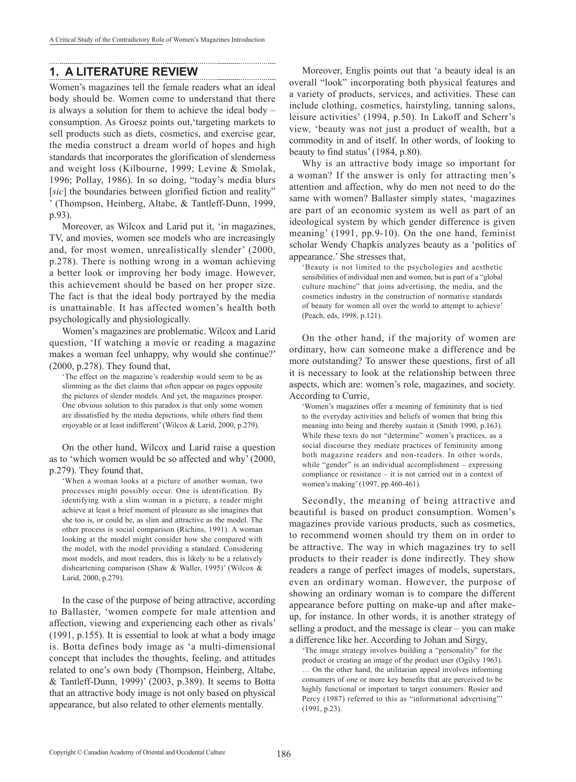# **1. A LITERATURE REVIEW**

Women's magazines tell the female readers what an ideal body should be. Women come to understand that there is always a solution for them to achieve the ideal body – consumption. As Groesz points out,'targeting markets to sell products such as diets, cosmetics, and exercise gear, the media construct a dream world of hopes and high standards that incorporates the glorification of slenderness and weight loss (Kilbourne, 1999; Levine & Smolak, 1996; Pollay, 1986). In so doing, "today's media blurs [*sic*] the boundaries between glorified fiction and reality" ' (Thompson, Heinberg, Altabe, & Tantleff-Dunn, 1999, p.93).

Moreover, as Wilcox and Larid put it, 'in magazines, TV, and movies, women see models who are increasingly and, for most women, unrealistically slender' (2000, p.278). There is nothing wrong in a woman achieving a better look or improving her body image. However, this achievement should be based on her proper size. The fact is that the ideal body portrayed by the media is unattainable. It has affected women's health both psychologically and physiologically.

Women's magazines are problematic. Wilcox and Larid question, 'If watching a movie or reading a magazine makes a woman feel unhappy, why would she continue?' (2000, p.278). They found that,

'The effect on the magazine's readership would seem to be as slimming as the diet claims that often appear on pages opposite the pictures of slender models. And yet, the magazines prosper. One obvious solution to this paradox is that only some women are dissatisfied by the media depictions, while others find them enjoyable or at least indifferent' (Wilcox & Larid, 2000, p.279).

On the other hand, Wilcox and Larid raise a question as to 'which women would be so affected and why' (2000, p.279). They found that,

'When a woman looks at a picture of another woman, two processes might possibly occur. One is identification. By identifying with a slim woman in a picture, a reader might achieve at least a brief moment of pleasure as she imagines that she too is, or could be, as slim and attractive as the model. The other process is social comparison (Richins, 1991). A woman looking at the model might consider how she compared with the model, with the model providing a standard. Considering most models, and most readers, this is likely to be a relatively disheartening comparison (Shaw & Waller, 1995)' (Wilcox & Larid, 2000, p.279).

In the case of the purpose of being attractive, according to Ballaster, 'women compete for male attention and affection, viewing and experiencing each other as rivals' (1991, p.155). It is essential to look at what a body image is. Botta defines body image as 'a multi-dimensional concept that includes the thoughts, feeling, and attitudes related to one's own body (Thompson, Heinberg, Altabe, & Tantleff-Dunn, 1999)' (2003, p.389). It seems to Botta that an attractive body image is not only based on physical appearance, but also related to other elements mentally.

Moreover, Englis points out that 'a beauty ideal is an overall "look" incorporating both physical features and a variety of products, services, and activities. These can include clothing, cosmetics, hairstyling, tanning salons, leisure activities' (1994, p.50). In Lakoff and Scherr's view, 'beauty was not just a product of wealth, but a commodity in and of itself. In other words, of looking to beauty to find status' (1984, p.80).

Why is an attractive body image so important for a woman? If the answer is only for attracting men's attention and affection, why do men not need to do the same with women? Ballaster simply states, 'magazines are part of an economic system as well as part of an ideological system by which gender difference is given meaning' (1991, pp.9-10). On the one hand, feminist scholar Wendy Chapkis analyzes beauty as a 'politics of appearance.' She stresses that,

'Beauty is not limited to the psychologies and aesthetic sensibilities of individual men and women, but is part of a "global culture machine" that joins advertising, the media, and the cosmetics industry in the construction of normative standards of beauty for women all over the world to attempt to achieve' (Peach, eds, 1998, p.121).

On the other hand, if the majority of women are ordinary, how can someone make a difference and be more outstanding? To answer these questions, first of all it is necessary to look at the relationship between three aspects, which are: women's role, magazines, and society. According to Currie,

'Women's magazines offer a meaning of femininity that is tied to the everyday activities and beliefs of women that bring this meaning into being and thereby sustain it (Smith 1990, p.163). While these texts do not "determine" women's practices, as a social discourse they mediate practices of femininity among both magazine readers and non-readers. In other words, while "gender" is an individual accomplishment – expressing compliance or resistance – it is not carried out in a context of women's making' (1997, pp.460-461).

Secondly, the meaning of being attractive and beautiful is based on product consumption. Women's magazines provide various products, such as cosmetics, to recommend women should try them on in order to be attractive. The way in which magazines try to sell products to their reader is done indirectly. They show readers a range of perfect images of models, superstars, even an ordinary woman. However, the purpose of showing an ordinary woman is to compare the different appearance before putting on make-up and after makeup, for instance. In other words, it is another strategy of selling a product, and the message is clear – you can make a difference like her. According to Johan and Sirgy,

'The image strategy involves building a "personality" for the product or creating an image of the product user (Ogilvy 1963). … On the other hand, the utilitarian appeal involves informing consumers of one or more key benefits that are perceived to be highly functional or important to target consumers. Rosier and Percy (1987) referred to this as "informational advertising" (1991, p.23).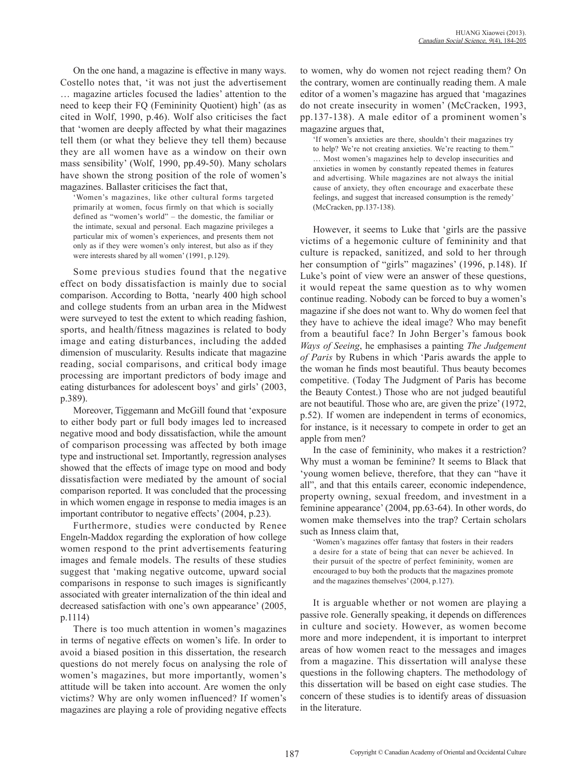On the one hand, a magazine is effective in many ways. Costello notes that, 'it was not just the advertisement … magazine articles focused the ladies' attention to the need to keep their FQ (Femininity Quotient) high' (as as cited in Wolf, 1990, p.46). Wolf also criticises the fact that 'women are deeply affected by what their magazines tell them (or what they believe they tell them) because they are all women have as a window on their own mass sensibility' (Wolf, 1990, pp.49-50). Many scholars have shown the strong position of the role of women's magazines. Ballaster criticises the fact that,

'Women's magazines, like other cultural forms targeted primarily at women, focus firmly on that which is socially defined as "women's world" – the domestic, the familiar or the intimate, sexual and personal. Each magazine privileges a particular mix of women's experiences, and presents them not only as if they were women's only interest, but also as if they were interests shared by all women' (1991, p.129).

Some previous studies found that the negative effect on body dissatisfaction is mainly due to social comparison. According to Botta, 'nearly 400 high school and college students from an urban area in the Midwest were surveyed to test the extent to which reading fashion, sports, and health/fitness magazines is related to body image and eating disturbances, including the added dimension of muscularity. Results indicate that magazine reading, social comparisons, and critical body image processing are important predictors of body image and eating disturbances for adolescent boys' and girls' (2003, p.389).

Moreover, Tiggemann and McGill found that 'exposure to either body part or full body images led to increased negative mood and body dissatisfaction, while the amount of comparison processing was affected by both image type and instructional set. Importantly, regression analyses showed that the effects of image type on mood and body dissatisfaction were mediated by the amount of social comparison reported. It was concluded that the processing in which women engage in response to media images is an important contributor to negative effects' (2004, p.23).

Furthermore, studies were conducted by Renee Engeln-Maddox regarding the exploration of how college women respond to the print advertisements featuring images and female models. The results of these studies suggest that 'making negative outcome, upward social comparisons in response to such images is significantly associated with greater internalization of the thin ideal and decreased satisfaction with one's own appearance' (2005, p.1114)

There is too much attention in women's magazines in terms of negative effects on women's life. In order to avoid a biased position in this dissertation, the research questions do not merely focus on analysing the role of women's magazines, but more importantly, women's attitude will be taken into account. Are women the only victims? Why are only women influenced? If women's magazines are playing a role of providing negative effects to women, why do women not reject reading them? On the contrary, women are continually reading them. A male editor of a women's magazine has argued that 'magazines do not create insecurity in women' (McCracken, 1993, pp.137-138). A male editor of a prominent women's magazine argues that,

'If women's anxieties are there, shouldn't their magazines try to help? We're not creating anxieties. We're reacting to them." … Most women's magazines help to develop insecurities and anxieties in women by constantly repeated themes in features and advertising. While magazines are not always the initial cause of anxiety, they often encourage and exacerbate these feelings, and suggest that increased consumption is the remedy' (McCracken, pp.137-138).

However, it seems to Luke that 'girls are the passive victims of a hegemonic culture of femininity and that culture is repacked, sanitized, and sold to her through her consumption of "girls" magazines' (1996, p.148). If Luke's point of view were an answer of these questions, it would repeat the same question as to why women continue reading. Nobody can be forced to buy a women's magazine if she does not want to. Why do women feel that they have to achieve the ideal image? Who may benefit from a beautiful face? In John Berger's famous book *Ways of Seeing*, he emphasises a painting *The Judgement of Paris* by Rubens in which 'Paris awards the apple to the woman he finds most beautiful. Thus beauty becomes competitive. (Today The Judgment of Paris has become the Beauty Contest.) Those who are not judged beautiful are not beautiful. Those who are, are given the prize' (1972, p.52). If women are independent in terms of economics, for instance, is it necessary to compete in order to get an apple from men?

In the case of femininity, who makes it a restriction? Why must a woman be feminine? It seems to Black that 'young women believe, therefore, that they can "have it all", and that this entails career, economic independence, property owning, sexual freedom, and investment in a feminine appearance' (2004, pp.63-64). In other words, do women make themselves into the trap? Certain scholars such as Inness claim that,

'Women's magazines offer fantasy that fosters in their readers a desire for a state of being that can never be achieved. In their pursuit of the spectre of perfect femininity, women are encouraged to buy both the products that the magazines promote and the magazines themselves' (2004, p.127).

It is arguable whether or not women are playing a passive role. Generally speaking, it depends on differences in culture and society. However, as women become more and more independent, it is important to interpret areas of how women react to the messages and images from a magazine. This dissertation will analyse these questions in the following chapters. The methodology of this dissertation will be based on eight case studies. The concern of these studies is to identify areas of dissuasion in the literature.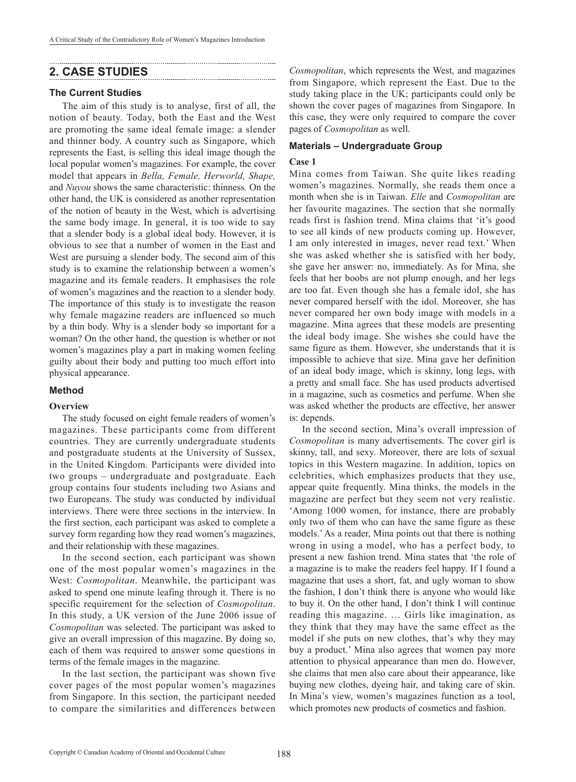# **2. CASE STUDIES**

## **The Current Studies**

The aim of this study is to analyse, first of all, the notion of beauty. Today, both the East and the West are promoting the same ideal female image: a slender and thinner body. A country such as Singapore, which represents the East, is selling this ideal image though the local popular women's magazines. For example, the cover model that appears in *Bella, Female, Herworld, Shape,*  and *Nuyou* shows the same characteristic: thinness*.* On the other hand, the UK is considered as another representation of the notion of beauty in the West, which is advertising the same body image. In general, it is too wide to say that a slender body is a global ideal body. However, it is obvious to see that a number of women in the East and West are pursuing a slender body. The second aim of this study is to examine the relationship between a women's magazine and its female readers. It emphasises the role of women's magazines and the reaction to a slender body. The importance of this study is to investigate the reason why female magazine readers are influenced so much by a thin body. Why is a slender body so important for a woman? On the other hand, the question is whether or not women's magazines play a part in making women feeling guilty about their body and putting too much effort into physical appearance.

## **Method**

#### **Overview**

The study focused on eight female readers of women's magazines. These participants come from different countries. They are currently undergraduate students and postgraduate students at the University of Sussex, in the United Kingdom. Participants were divided into two groups – undergraduate and postgraduate. Each group contains four students including two Asians and two Europeans. The study was conducted by individual interviews. There were three sections in the interview. In the first section, each participant was asked to complete a survey form regarding how they read women's magazines, and their relationship with these magazines.

In the second section, each participant was shown one of the most popular women's magazines in the West: *Cosmopolitan*. Meanwhile, the participant was asked to spend one minute leafing through it. There is no specific requirement for the selection of *Cosmopolitan*. In this study, a UK version of the June 2006 issue of *Cosmopolitan* was selected. The participant was asked to give an overall impression of this magazine. By doing so, each of them was required to answer some questions in terms of the female images in the magazine.

In the last section, the participant was shown five cover pages of the most popular women's magazines from Singapore. In this section, the participant needed to compare the similarities and differences between

*Cosmopolitan*, which represents the West, and magazines from Singapore, which represent the East. Due to the study taking place in the UK; participants could only be shown the cover pages of magazines from Singapore. In this case, they were only required to compare the cover pages of *Cosmopolitan* as well.

## **Materials – Undergraduate Group**

#### **Case 1**

Mina comes from Taiwan. She quite likes reading women's magazines. Normally, she reads them once a month when she is in Taiwan. *Elle* and *Cosmopolitan* are her favourite magazines. The section that she normally reads first is fashion trend. Mina claims that 'it's good to see all kinds of new products coming up. However, I am only interested in images, never read text.' When she was asked whether she is satisfied with her body, she gave her answer: no, immediately. As for Mina, she feels that her boobs are not plump enough, and her legs are too fat. Even though she has a female idol, she has never compared herself with the idol. Moreover, she has never compared her own body image with models in a magazine. Mina agrees that these models are presenting the ideal body image. She wishes she could have the same figure as them. However, she understands that it is impossible to achieve that size. Mina gave her definition of an ideal body image, which is skinny, long legs, with a pretty and small face. She has used products advertised in a magazine, such as cosmetics and perfume. When she was asked whether the products are effective, her answer is: depends.

In the second section, Mina's overall impression of *Cosmopolitan* is many advertisements. The cover girl is skinny, tall, and sexy. Moreover, there are lots of sexual topics in this Western magazine. In addition, topics on celebrities, which emphasizes products that they use, appear quite frequently. Mina thinks, the models in the magazine are perfect but they seem not very realistic. 'Among 1000 women, for instance, there are probably only two of them who can have the same figure as these models.' As a reader, Mina points out that there is nothing wrong in using a model, who has a perfect body, to present a new fashion trend. Mina states that 'the role of a magazine is to make the readers feel happy. If I found a magazine that uses a short, fat, and ugly woman to show the fashion, I don't think there is anyone who would like to buy it. On the other hand, I don't think I will continue reading this magazine. … Girls like imagination, as they think that they may have the same effect as the model if she puts on new clothes, that's why they may buy a product.' Mina also agrees that women pay more attention to physical appearance than men do. However, she claims that men also care about their appearance, like buying new clothes, dyeing hair, and taking care of skin. In Mina's view, women's magazines function as a tool, which promotes new products of cosmetics and fashion.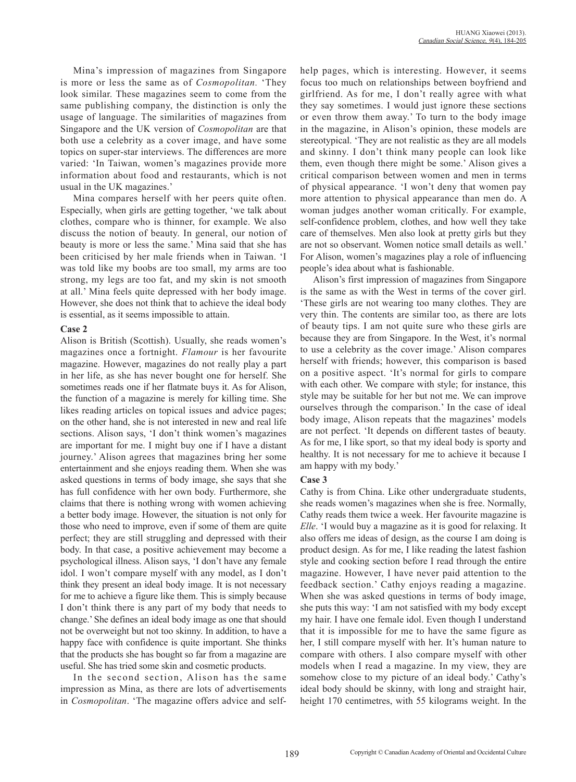Mina's impression of magazines from Singapore is more or less the same as of *Cosmopolitan.* 'They look similar. These magazines seem to come from the same publishing company, the distinction is only the usage of language. The similarities of magazines from Singapore and the UK version of *Cosmopolitan* are that both use a celebrity as a cover image, and have some topics on super-star interviews. The differences are more varied: 'In Taiwan, women's magazines provide more information about food and restaurants, which is not usual in the UK magazines.'

Mina compares herself with her peers quite often. Especially, when girls are getting together, 'we talk about clothes, compare who is thinner, for example. We also discuss the notion of beauty. In general, our notion of beauty is more or less the same.' Mina said that she has been criticised by her male friends when in Taiwan. 'I was told like my boobs are too small, my arms are too strong, my legs are too fat, and my skin is not smooth at all.' Mina feels quite depressed with her body image. However, she does not think that to achieve the ideal body is essential, as it seems impossible to attain.

## **Case 2**

Alison is British (Scottish). Usually, she reads women's magazines once a fortnight. *Flamour* is her favourite magazine. However, magazines do not really play a part in her life, as she has never bought one for herself. She sometimes reads one if her flatmate buys it. As for Alison, the function of a magazine is merely for killing time. She likes reading articles on topical issues and advice pages; on the other hand, she is not interested in new and real life sections. Alison says, 'I don't think women's magazines are important for me. I might buy one if I have a distant journey.' Alison agrees that magazines bring her some entertainment and she enjoys reading them. When she was asked questions in terms of body image, she says that she has full confidence with her own body. Furthermore, she claims that there is nothing wrong with women achieving a better body image. However, the situation is not only for those who need to improve, even if some of them are quite perfect; they are still struggling and depressed with their body. In that case, a positive achievement may become a psychological illness. Alison says, 'I don't have any female idol. I won't compare myself with any model, as I don't think they present an ideal body image. It is not necessary for me to achieve a figure like them. This is simply because I don't think there is any part of my body that needs to change.' She defines an ideal body image as one that should not be overweight but not too skinny. In addition, to have a happy face with confidence is quite important. She thinks that the products she has bought so far from a magazine are useful. She has tried some skin and cosmetic products.

In the second section, Alison has the same impression as Mina, as there are lots of advertisements in *Cosmopolitan*. 'The magazine offers advice and selfhelp pages, which is interesting. However, it seems focus too much on relationships between boyfriend and girlfriend. As for me, I don't really agree with what they say sometimes. I would just ignore these sections or even throw them away.' To turn to the body image in the magazine, in Alison's opinion, these models are stereotypical. 'They are not realistic as they are all models and skinny. I don't think many people can look like them, even though there might be some.' Alison gives a critical comparison between women and men in terms of physical appearance. 'I won't deny that women pay more attention to physical appearance than men do. A woman judges another woman critically. For example, self-confidence problem, clothes, and how well they take care of themselves. Men also look at pretty girls but they are not so observant. Women notice small details as well.' For Alison, women's magazines play a role of influencing people's idea about what is fashionable.

Alison's first impression of magazines from Singapore is the same as with the West in terms of the cover girl. 'These girls are not wearing too many clothes. They are very thin. The contents are similar too, as there are lots of beauty tips. I am not quite sure who these girls are because they are from Singapore. In the West, it's normal to use a celebrity as the cover image.' Alison compares herself with friends; however, this comparison is based on a positive aspect. 'It's normal for girls to compare with each other. We compare with style; for instance, this style may be suitable for her but not me. We can improve ourselves through the comparison.' In the case of ideal body image, Alison repeats that the magazines' models are not perfect. 'It depends on different tastes of beauty. As for me, I like sport, so that my ideal body is sporty and healthy. It is not necessary for me to achieve it because I am happy with my body.'

## **Case 3**

Cathy is from China. Like other undergraduate students, she reads women's magazines when she is free. Normally, Cathy reads them twice a week. Her favourite magazine is *Elle*. 'I would buy a magazine as it is good for relaxing. It also offers me ideas of design, as the course I am doing is product design. As for me, I like reading the latest fashion style and cooking section before I read through the entire magazine. However, I have never paid attention to the feedback section.' Cathy enjoys reading a magazine. When she was asked questions in terms of body image, she puts this way: 'I am not satisfied with my body except my hair. I have one female idol. Even though I understand that it is impossible for me to have the same figure as her, I still compare myself with her. It's human nature to compare with others. I also compare myself with other models when I read a magazine. In my view, they are somehow close to my picture of an ideal body.' Cathy's ideal body should be skinny, with long and straight hair, height 170 centimetres, with 55 kilograms weight. In the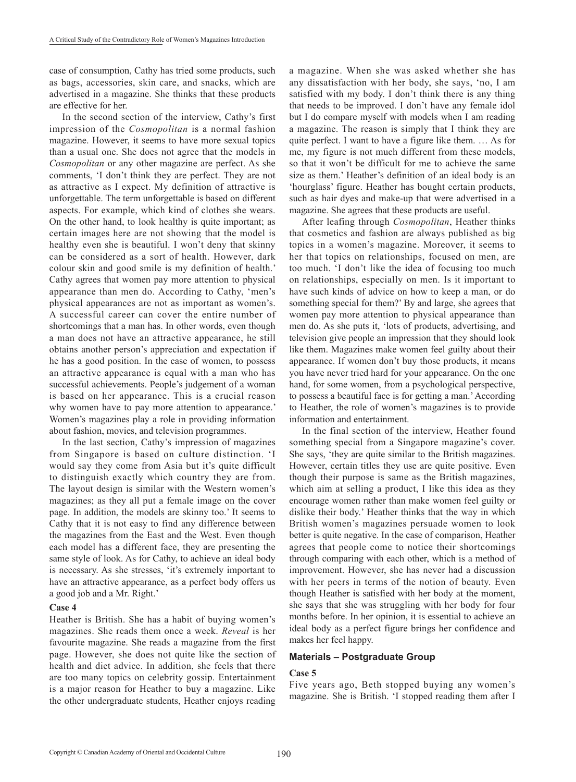case of consumption, Cathy has tried some products, such as bags, accessories, skin care, and snacks, which are advertised in a magazine. She thinks that these products are effective for her.

In the second section of the interview, Cathy's first impression of the *Cosmopolitan* is a normal fashion magazine. However, it seems to have more sexual topics than a usual one. She does not agree that the models in *Cosmopolitan* or any other magazine are perfect. As she comments, 'I don't think they are perfect. They are not as attractive as I expect. My definition of attractive is unforgettable. The term unforgettable is based on different aspects. For example, which kind of clothes she wears. On the other hand, to look healthy is quite important; as certain images here are not showing that the model is healthy even she is beautiful. I won't deny that skinny can be considered as a sort of health. However, dark colour skin and good smile is my definition of health.' Cathy agrees that women pay more attention to physical appearance than men do. According to Cathy, 'men's physical appearances are not as important as women's. A successful career can cover the entire number of shortcomings that a man has. In other words, even though a man does not have an attractive appearance, he still obtains another person's appreciation and expectation if he has a good position. In the case of women, to possess an attractive appearance is equal with a man who has successful achievements. People's judgement of a woman is based on her appearance. This is a crucial reason why women have to pay more attention to appearance.' Women's magazines play a role in providing information about fashion, movies, and television programmes.

In the last section, Cathy's impression of magazines from Singapore is based on culture distinction. 'I would say they come from Asia but it's quite difficult to distinguish exactly which country they are from. The layout design is similar with the Western women's magazines; as they all put a female image on the cover page. In addition, the models are skinny too.' It seems to Cathy that it is not easy to find any difference between the magazines from the East and the West. Even though each model has a different face, they are presenting the same style of look. As for Cathy, to achieve an ideal body is necessary. As she stresses, 'it's extremely important to have an attractive appearance, as a perfect body offers us a good job and a Mr. Right.'

#### **Case 4**

Heather is British. She has a habit of buying women's magazines. She reads them once a week. *Reveal* is her favourite magazine. She reads a magazine from the first page. However, she does not quite like the section of health and diet advice. In addition, she feels that there are too many topics on celebrity gossip. Entertainment is a major reason for Heather to buy a magazine. Like the other undergraduate students, Heather enjoys reading

a magazine. When she was asked whether she has any dissatisfaction with her body, she says, 'no, I am satisfied with my body. I don't think there is any thing that needs to be improved. I don't have any female idol but I do compare myself with models when I am reading a magazine. The reason is simply that I think they are quite perfect. I want to have a figure like them. … As for me, my figure is not much different from these models, so that it won't be difficult for me to achieve the same size as them.' Heather's definition of an ideal body is an 'hourglass' figure. Heather has bought certain products, such as hair dyes and make-up that were advertised in a magazine. She agrees that these products are useful.

After leafing through *Cosmopolitan*, Heather thinks that cosmetics and fashion are always published as big topics in a women's magazine. Moreover, it seems to her that topics on relationships, focused on men, are too much. 'I don't like the idea of focusing too much on relationships, especially on men. Is it important to have such kinds of advice on how to keep a man, or do something special for them?' By and large, she agrees that women pay more attention to physical appearance than men do. As she puts it, 'lots of products, advertising, and television give people an impression that they should look like them. Magazines make women feel guilty about their appearance. If women don't buy those products, it means you have never tried hard for your appearance. On the one hand, for some women, from a psychological perspective, to possess a beautiful face is for getting a man.' According to Heather, the role of women's magazines is to provide information and entertainment.

In the final section of the interview, Heather found something special from a Singapore magazine's cover. She says, 'they are quite similar to the British magazines. However, certain titles they use are quite positive. Even though their purpose is same as the British magazines, which aim at selling a product, I like this idea as they encourage women rather than make women feel guilty or dislike their body.' Heather thinks that the way in which British women's magazines persuade women to look better is quite negative. In the case of comparison, Heather agrees that people come to notice their shortcomings through comparing with each other, which is a method of improvement. However, she has never had a discussion with her peers in terms of the notion of beauty. Even though Heather is satisfied with her body at the moment, she says that she was struggling with her body for four months before. In her opinion, it is essential to achieve an ideal body as a perfect figure brings her confidence and makes her feel happy.

## **Materials – Postgraduate Group**

## **Case 5**

Five years ago, Beth stopped buying any women's magazine. She is British. 'I stopped reading them after I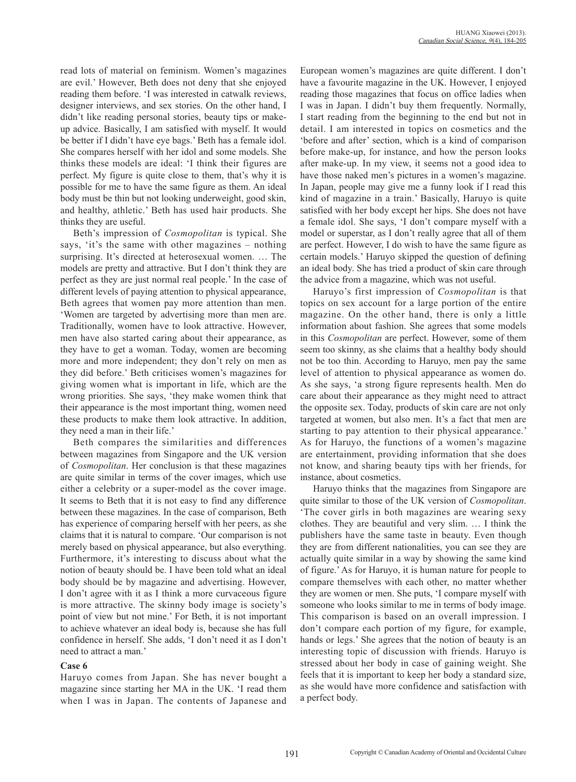read lots of material on feminism. Women's magazines are evil.' However, Beth does not deny that she enjoyed reading them before. 'I was interested in catwalk reviews, designer interviews, and sex stories. On the other hand, I didn't like reading personal stories, beauty tips or makeup advice. Basically, I am satisfied with myself. It would be better if I didn't have eye bags.' Beth has a female idol. She compares herself with her idol and some models. She thinks these models are ideal: 'I think their figures are perfect. My figure is quite close to them, that's why it is possible for me to have the same figure as them. An ideal body must be thin but not looking underweight, good skin, and healthy, athletic.' Beth has used hair products. She thinks they are useful.

Beth's impression of *Cosmopolitan* is typical. She says, 'it's the same with other magazines – nothing surprising. It's directed at heterosexual women. … The models are pretty and attractive. But I don't think they are perfect as they are just normal real people.' In the case of different levels of paying attention to physical appearance, Beth agrees that women pay more attention than men. 'Women are targeted by advertising more than men are. Traditionally, women have to look attractive. However, men have also started caring about their appearance, as they have to get a woman. Today, women are becoming more and more independent; they don't rely on men as they did before.' Beth criticises women's magazines for giving women what is important in life, which are the wrong priorities. She says, 'they make women think that their appearance is the most important thing, women need these products to make them look attractive. In addition, they need a man in their life.'

Beth compares the similarities and differences between magazines from Singapore and the UK version of *Cosmopolitan*. Her conclusion is that these magazines are quite similar in terms of the cover images, which use either a celebrity or a super-model as the cover image. It seems to Beth that it is not easy to find any difference between these magazines. In the case of comparison, Beth has experience of comparing herself with her peers, as she claims that it is natural to compare. 'Our comparison is not merely based on physical appearance, but also everything. Furthermore, it's interesting to discuss about what the notion of beauty should be. I have been told what an ideal body should be by magazine and advertising. However, I don't agree with it as I think a more curvaceous figure is more attractive. The skinny body image is society's point of view but not mine.' For Beth, it is not important to achieve whatever an ideal body is, because she has full confidence in herself. She adds, 'I don't need it as I don't need to attract a man.'

## **Case 6**

Haruyo comes from Japan. She has never bought a magazine since starting her MA in the UK. 'I read them when I was in Japan. The contents of Japanese and

European women's magazines are quite different. I don't have a favourite magazine in the UK. However, I enjoyed reading those magazines that focus on office ladies when I was in Japan. I didn't buy them frequently. Normally, I start reading from the beginning to the end but not in detail. I am interested in topics on cosmetics and the 'before and after' section, which is a kind of comparison before make-up, for instance, and how the person looks after make-up. In my view, it seems not a good idea to have those naked men's pictures in a women's magazine. In Japan, people may give me a funny look if I read this kind of magazine in a train.' Basically, Haruyo is quite satisfied with her body except her hips. She does not have a female idol. She says, 'I don't compare myself with a model or superstar, as I don't really agree that all of them are perfect. However, I do wish to have the same figure as certain models.' Haruyo skipped the question of defining an ideal body. She has tried a product of skin care through the advice from a magazine, which was not useful.

Haruyo's first impression of *Cosmopolitan* is that topics on sex account for a large portion of the entire magazine. On the other hand, there is only a little information about fashion. She agrees that some models in this *Cosmopolitan* are perfect. However, some of them seem too skinny, as she claims that a healthy body should not be too thin. According to Haruyo, men pay the same level of attention to physical appearance as women do. As she says, 'a strong figure represents health. Men do care about their appearance as they might need to attract the opposite sex. Today, products of skin care are not only targeted at women, but also men. It's a fact that men are starting to pay attention to their physical appearance.' As for Haruyo, the functions of a women's magazine are entertainment, providing information that she does not know, and sharing beauty tips with her friends, for instance, about cosmetics.

Haruyo thinks that the magazines from Singapore are quite similar to those of the UK version of *Cosmopolitan*. 'The cover girls in both magazines are wearing sexy clothes. They are beautiful and very slim. … I think the publishers have the same taste in beauty. Even though they are from different nationalities, you can see they are actually quite similar in a way by showing the same kind of figure.' As for Haruyo, it is human nature for people to compare themselves with each other, no matter whether they are women or men. She puts, 'I compare myself with someone who looks similar to me in terms of body image. This comparison is based on an overall impression. I don't compare each portion of my figure, for example, hands or legs.' She agrees that the notion of beauty is an interesting topic of discussion with friends. Haruyo is stressed about her body in case of gaining weight. She feels that it is important to keep her body a standard size, as she would have more confidence and satisfaction with a perfect body.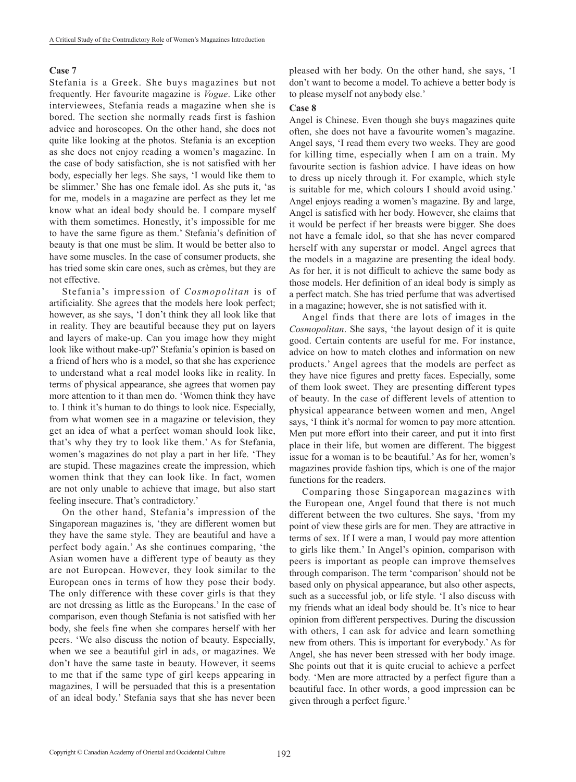#### **Case 7**

Stefania is a Greek. She buys magazines but not frequently. Her favourite magazine is *Vogue*. Like other interviewees, Stefania reads a magazine when she is bored. The section she normally reads first is fashion advice and horoscopes. On the other hand, she does not quite like looking at the photos. Stefania is an exception as she does not enjoy reading a women's magazine. In the case of body satisfaction, she is not satisfied with her body, especially her legs. She says, 'I would like them to be slimmer.' She has one female idol. As she puts it, 'as for me, models in a magazine are perfect as they let me know what an ideal body should be. I compare myself with them sometimes. Honestly, it's impossible for me to have the same figure as them.' Stefania's definition of beauty is that one must be slim. It would be better also to have some muscles. In the case of consumer products, she has tried some skin care ones, such as crèmes, but they are not effective.

Stefania's impression of *Cosmopolitan* is of artificiality. She agrees that the models here look perfect; however, as she says, 'I don't think they all look like that in reality. They are beautiful because they put on layers and layers of make-up. Can you image how they might look like without make-up?' Stefania's opinion is based on a friend of hers who is a model, so that she has experience to understand what a real model looks like in reality. In terms of physical appearance, she agrees that women pay more attention to it than men do. 'Women think they have to. I think it's human to do things to look nice. Especially, from what women see in a magazine or television, they get an idea of what a perfect woman should look like, that's why they try to look like them.' As for Stefania, women's magazines do not play a part in her life. 'They are stupid. These magazines create the impression, which women think that they can look like. In fact, women are not only unable to achieve that image, but also start feeling insecure. That's contradictory.'

On the other hand, Stefania's impression of the Singaporean magazines is, 'they are different women but they have the same style. They are beautiful and have a perfect body again.' As she continues comparing, 'the Asian women have a different type of beauty as they are not European. However, they look similar to the European ones in terms of how they pose their body. The only difference with these cover girls is that they are not dressing as little as the Europeans.' In the case of comparison, even though Stefania is not satisfied with her body, she feels fine when she compares herself with her peers. 'We also discuss the notion of beauty. Especially, when we see a beautiful girl in ads, or magazines. We don't have the same taste in beauty. However, it seems to me that if the same type of girl keeps appearing in magazines, I will be persuaded that this is a presentation of an ideal body.' Stefania says that she has never been

pleased with her body. On the other hand, she says, 'I don't want to become a model. To achieve a better body is to please myself not anybody else.'

#### **Case 8**

Angel is Chinese. Even though she buys magazines quite often, she does not have a favourite women's magazine. Angel says, 'I read them every two weeks. They are good for killing time, especially when I am on a train. My favourite section is fashion advice. I have ideas on how to dress up nicely through it. For example, which style is suitable for me, which colours I should avoid using.' Angel enjoys reading a women's magazine. By and large, Angel is satisfied with her body. However, she claims that it would be perfect if her breasts were bigger. She does not have a female idol, so that she has never compared herself with any superstar or model. Angel agrees that the models in a magazine are presenting the ideal body. As for her, it is not difficult to achieve the same body as those models. Her definition of an ideal body is simply as a perfect match. She has tried perfume that was advertised in a magazine; however, she is not satisfied with it.

Angel finds that there are lots of images in the *Cosmopolitan*. She says, 'the layout design of it is quite good. Certain contents are useful for me. For instance, advice on how to match clothes and information on new products.' Angel agrees that the models are perfect as they have nice figures and pretty faces. Especially, some of them look sweet. They are presenting different types of beauty. In the case of different levels of attention to physical appearance between women and men, Angel says, 'I think it's normal for women to pay more attention. Men put more effort into their career, and put it into first place in their life, but women are different. The biggest issue for a woman is to be beautiful.' As for her, women's magazines provide fashion tips, which is one of the major functions for the readers.

Comparing those Singaporean magazines with the European one, Angel found that there is not much different between the two cultures. She says, 'from my point of view these girls are for men. They are attractive in terms of sex. If I were a man, I would pay more attention to girls like them.' In Angel's opinion, comparison with peers is important as people can improve themselves through comparison. The term 'comparison' should not be based only on physical appearance, but also other aspects, such as a successful job, or life style. 'I also discuss with my friends what an ideal body should be. It's nice to hear opinion from different perspectives. During the discussion with others, I can ask for advice and learn something new from others. This is important for everybody.' As for Angel, she has never been stressed with her body image. She points out that it is quite crucial to achieve a perfect body. 'Men are more attracted by a perfect figure than a beautiful face. In other words, a good impression can be given through a perfect figure.'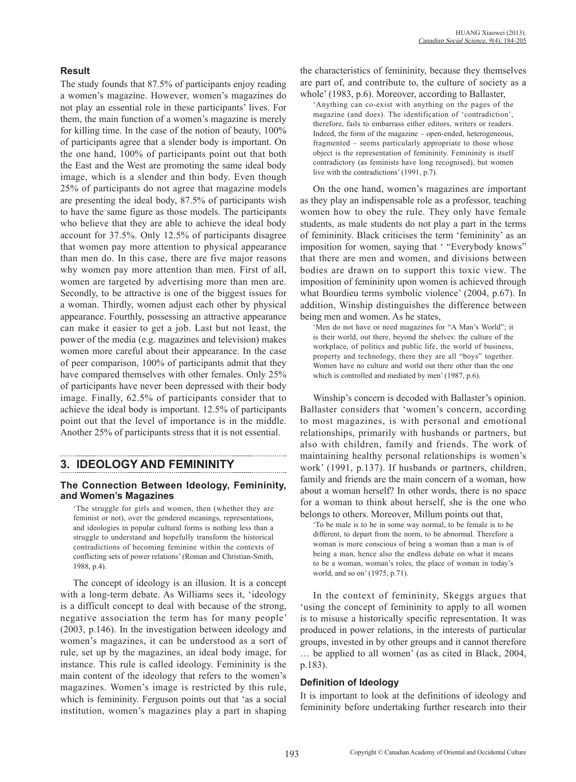## **Result**

The study founds that 87.5% of participants enjoy reading a women's magazine. However, women's magazines do not play an essential role in these participants' lives. For them, the main function of a women's magazine is merely for killing time. In the case of the notion of beauty, 100% of participants agree that a slender body is important. On the one hand, 100% of participants point out that both the East and the West are promoting the same ideal body image, which is a slender and thin body. Even though 25% of participants do not agree that magazine models are presenting the ideal body, 87.5% of participants wish to have the same figure as those models. The participants who believe that they are able to achieve the ideal body account for 37.5%. Only 12.5% of participants disagree that women pay more attention to physical appearance than men do. In this case, there are five major reasons why women pay more attention than men. First of all, women are targeted by advertising more than men are. Secondly, to be attractive is one of the biggest issues for a woman. Thirdly, women adjust each other by physical appearance. Fourthly, possessing an attractive appearance can make it easier to get a job. Last but not least, the power of the media (e.g. magazines and television) makes women more careful about their appearance. In the case of peer comparison, 100% of participants admit that they have compared themselves with other females. Only 25% of participants have never been depressed with their body image. Finally, 62.5% of participants consider that to achieve the ideal body is important. 12.5% of participants point out that the level of importance is in the middle. Another 25% of participants stress that it is not essential.

# **3. IDEOLOGY AND FEMININITY**

## **The Connection Between Ideology, Femininity, and Women's Magazines**

'The struggle for girls and women, then (whether they are feminist or not), over the gendered meanings, representations, and ideologies in popular cultural forms is nothing less than a struggle to understand and hopefully transform the historical contradictions of becoming feminine within the contexts of conflicting sets of power relations' (Roman and Christian-Smith, 1988, p.4).

The concept of ideology is an illusion. It is a concept with a long-term debate. As Williams sees it, 'ideology is a difficult concept to deal with because of the strong, negative association the term has for many people' (2003, p.146). In the investigation between ideology and women's magazines, it can be understood as a sort of rule, set up by the magazines, an ideal body image, for instance. This rule is called ideology. Femininity is the main content of the ideology that refers to the women's magazines. Women's image is restricted by this rule, which is femininity. Ferguson points out that 'as a social institution, women's magazines play a part in shaping the characteristics of femininity, because they themselves are part of, and contribute to, the culture of society as a whole' (1983, p.6). Moreover, according to Ballaster.

'Anything can co-exist with anything on the pages of the magazine (and does). The identification of 'contradiction', therefore, fails to embarrass either editors, writers or readers. Indeed, the form of the magazine – open-ended, heterogeneous, fragmented – seems particularly appropriate to those whose object is the representation of femininity. Femininity is itself contradictory (as feminists have long recognised), but women live with the contradictions' (1991, p.7).

On the one hand, women's magazines are important as they play an indispensable role as a professor, teaching women how to obey the rule. They only have female students, as male students do not play a part in the terms of femininity. Black criticises the term 'femininity' as an imposition for women, saying that ' "Everybody knows" that there are men and women, and divisions between bodies are drawn on to support this toxic view. The imposition of femininity upon women is achieved through what Bourdieu terms symbolic violence' (2004, p.67). In addition, Winship distinguishes the difference between being men and women. As he states,

'Men do not have or need magazines for "A Man's World"; it is their world, out there, beyond the shelves: the culture of the workplace, of politics and public life, the world of business, property and technology, there they are all "boys" together. Women have no culture and world out there other than the one which is controlled and mediated by men' (1987, p.6).

Winship's concern is decoded with Ballaster's opinion. Ballaster considers that 'women's concern, according to most magazines, is with personal and emotional relationships, primarily with husbands or partners, but also with children, family and friends. The work of maintaining healthy personal relationships is women's work' (1991, p.137). If husbands or partners, children, family and friends are the main concern of a woman, how about a woman herself? In other words, there is no space for a woman to think about herself, she is the one who belongs to others. Moreover, Millum points out that,

'To be male is to be in some way normal, to be female is to be different, to depart from the norm, to be abnormal. Therefore a woman is more conscious of being a woman than a man is of being a man, hence also the endless debate on what it means to be a woman, woman's roles, the place of woman in today's world, and so on' (1975, p.71).

In the context of femininity, Skeggs argues that 'using the concept of femininity to apply to all women is to misuse a historically specific representation. It was produced in power relations, in the interests of particular groups, invested in by other groups and it cannot therefore … be applied to all women' (as as cited in Black, 2004, p.183).

## **Definition of Ideology**

It is important to look at the definitions of ideology and femininity before undertaking further research into their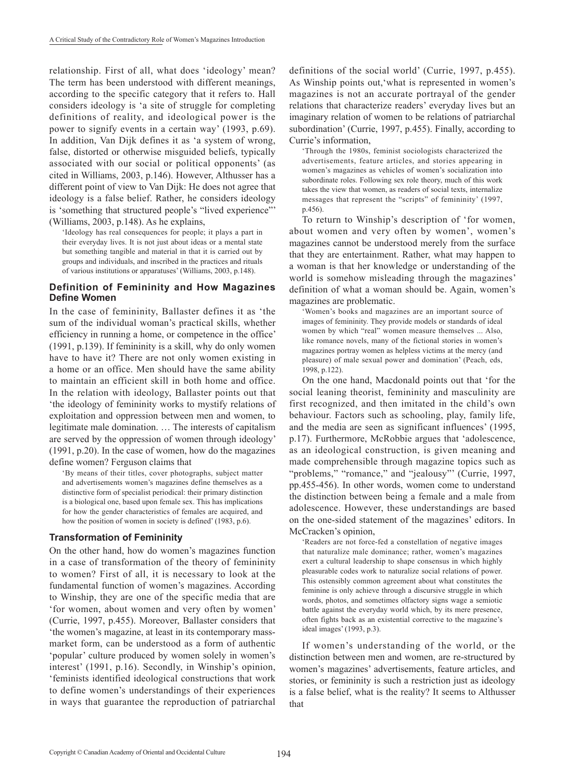relationship. First of all, what does 'ideology' mean? The term has been understood with different meanings, according to the specific category that it refers to. Hall considers ideology is 'a site of struggle for completing definitions of reality, and ideological power is the power to signify events in a certain way' (1993, p.69). In addition, Van Dijk defines it as 'a system of wrong, false, distorted or otherwise misguided beliefs, typically associated with our social or political opponents' (as cited in Williams, 2003, p.146). However, Althusser has a different point of view to Van Dijk: He does not agree that ideology is a false belief. Rather, he considers ideology is 'something that structured people's "lived experience"' (Williams, 2003, p.148). As he explains,

'Ideology has real consequences for people; it plays a part in their everyday lives. It is not just about ideas or a mental state but something tangible and material in that it is carried out by groups and individuals, and inscribed in the practices and rituals of various institutions or apparatuses' (Williams, 2003, p.148).

## **Definition of Femininity and How Magazines Define Women**

In the case of femininity, Ballaster defines it as 'the sum of the individual woman's practical skills, whether efficiency in running a home, or competence in the office' (1991, p.139). If femininity is a skill, why do only women have to have it? There are not only women existing in a home or an office. Men should have the same ability to maintain an efficient skill in both home and office. In the relation with ideology, Ballaster points out that 'the ideology of femininity works to mystify relations of exploitation and oppression between men and women, to legitimate male domination. … The interests of capitalism are served by the oppression of women through ideology' (1991, p.20). In the case of women, how do the magazines define women? Ferguson claims that

'By means of their titles, cover photographs, subject matter and advertisements women's magazines define themselves as a distinctive form of specialist periodical: their primary distinction is a biological one, based upon female sex. This has implications for how the gender characteristics of females are acquired, and how the position of women in society is defined' (1983, p.6).

## **Transformation of Femininity**

On the other hand, how do women's magazines function in a case of transformation of the theory of femininity to women? First of all, it is necessary to look at the fundamental function of women's magazines. According to Winship, they are one of the specific media that are 'for women, about women and very often by women' (Currie, 1997, p.455). Moreover, Ballaster considers that 'the women's magazine, at least in its contemporary massmarket form, can be understood as a form of authentic 'popular' culture produced by women solely in women's interest' (1991, p.16). Secondly, in Winship's opinion, 'feminists identified ideological constructions that work to define women's understandings of their experiences in ways that guarantee the reproduction of patriarchal definitions of the social world' (Currie, 1997, p.455). As Winship points out,'what is represented in women's magazines is not an accurate portrayal of the gender relations that characterize readers' everyday lives but an imaginary relation of women to be relations of patriarchal subordination' (Currie, 1997, p.455). Finally, according to Currie's information,

'Through the 1980s, feminist sociologists characterized the advertisements, feature articles, and stories appearing in women's magazines as vehicles of women's socialization into subordinate roles. Following sex role theory, much of this work takes the view that women, as readers of social texts, internalize messages that represent the "scripts" of femininity' (1997, p.456).

To return to Winship's description of 'for women, about women and very often by women', women's magazines cannot be understood merely from the surface that they are entertainment. Rather, what may happen to a woman is that her knowledge or understanding of the world is somehow misleading through the magazines' definition of what a woman should be. Again, women's magazines are problematic.

'Women's books and magazines are an important source of images of femininity. They provide models or standards of ideal women by which "real" women measure themselves ... Also, like romance novels, many of the fictional stories in women's magazines portray women as helpless victims at the mercy (and pleasure) of male sexual power and domination' (Peach, eds, 1998, p.122).

On the one hand, Macdonald points out that 'for the social leaning theorist, femininity and masculinity are first recognized, and then imitated in the child's own behaviour. Factors such as schooling, play, family life, and the media are seen as significant influences' (1995, p.17). Furthermore, McRobbie argues that 'adolescence, as an ideological construction, is given meaning and made comprehensible through magazine topics such as "problems," "romance," and "jealousy"' (Currie, 1997, pp.455-456). In other words, women come to understand the distinction between being a female and a male from adolescence. However, these understandings are based on the one-sided statement of the magazines' editors. In McCracken's opinion,

'Readers are not force-fed a constellation of negative images that naturalize male dominance; rather, women's magazines exert a cultural leadership to shape consensus in which highly pleasurable codes work to naturalize social relations of power. This ostensibly common agreement about what constitutes the feminine is only achieve through a discursive struggle in which words, photos, and sometimes olfactory signs wage a semiotic battle against the everyday world which, by its mere presence, often fights back as an existential corrective to the magazine's ideal images' (1993, p.3).

If women's understanding of the world, or the distinction between men and women, are re-structured by women's magazines' advertisements, feature articles, and stories, or femininity is such a restriction just as ideology is a false belief, what is the reality? It seems to Althusser that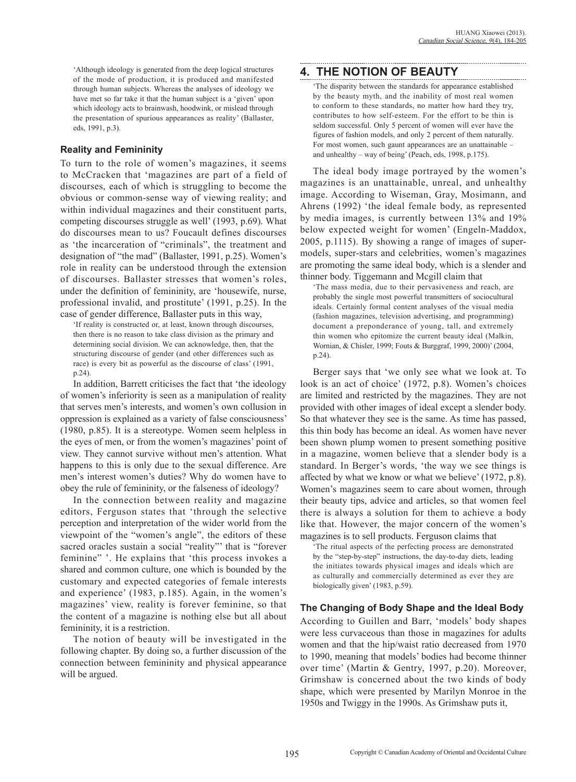'Although ideology is generated from the deep logical structures of the mode of production, it is produced and manifested through human subjects. Whereas the analyses of ideology we have met so far take it that the human subject is a 'given' upon which ideology acts to brainwash, hoodwink, or mislead through the presentation of spurious appearances as reality' (Ballaster, eds, 1991, p.3).

## **Reality and Femininity**

To turn to the role of women's magazines, it seems to McCracken that 'magazines are part of a field of discourses, each of which is struggling to become the obvious or common-sense way of viewing reality; and within individual magazines and their constituent parts, competing discourses struggle as well' (1993, p.69). What do discourses mean to us? Foucault defines discourses as 'the incarceration of "criminals", the treatment and designation of "the mad" (Ballaster, 1991, p.25). Women's role in reality can be understood through the extension of discourses. Ballaster stresses that women's roles, under the definition of femininity, are 'housewife, nurse, professional invalid, and prostitute' (1991, p.25). In the case of gender difference, Ballaster puts in this way,

'If reality is constructed or, at least, known through discourses, then there is no reason to take class division as the primary and determining social division. We can acknowledge, then, that the structuring discourse of gender (and other differences such as race) is every bit as powerful as the discourse of class' (1991, p.24).

In addition, Barrett criticises the fact that 'the ideology of women's inferiority is seen as a manipulation of reality that serves men's interests, and women's own collusion in oppression is explained as a variety of false consciousness' (1980, p.85). It is a stereotype. Women seem helpless in the eyes of men, or from the women's magazines' point of view. They cannot survive without men's attention. What happens to this is only due to the sexual difference. Are men's interest women's duties? Why do women have to obey the rule of femininity, or the falseness of ideology?

In the connection between reality and magazine editors, Ferguson states that 'through the selective perception and interpretation of the wider world from the viewpoint of the "women's angle", the editors of these sacred oracles sustain a social "reality"' that is "forever feminine" '. He explains that 'this process invokes a shared and common culture, one which is bounded by the customary and expected categories of female interests and experience' (1983, p.185). Again, in the women's magazines' view, reality is forever feminine, so that the content of a magazine is nothing else but all about femininity, it is a restriction.

The notion of beauty will be investigated in the following chapter. By doing so, a further discussion of the connection between femininity and physical appearance will be argued.

# **4. THE NOTION OF BEAUTY**

'The disparity between the standards for appearance established by the beauty myth, and the inability of most real women to conform to these standards, no matter how hard they try, contributes to how self-esteem. For the effort to be thin is seldom successful. Only 5 percent of women will ever have the figures of fashion models, and only 2 percent of them naturally. For most women, such gaunt appearances are an unattainable – and unhealthy – way of being' (Peach, eds, 1998, p.175).

The ideal body image portrayed by the women's magazines is an unattainable, unreal, and unhealthy image. According to Wiseman, Gray, Mosimann, and Ahrens (1992) 'the ideal female body, as represented by media images, is currently between 13% and 19% below expected weight for women' (Engeln-Maddox, 2005, p.1115). By showing a range of images of supermodels, super-stars and celebrities, women's magazines are promoting the same ideal body, which is a slender and thinner body. Tiggemann and Mcgill claim that

'The mass media, due to their pervasiveness and reach, are probably the single most powerful transmitters of sociocultural ideals. Certainly formal content analyses of the visual media (fashion magazines, television advertising, and programming) document a preponderance of young, tall, and extremely thin women who epitomize the current beauty ideal (Malkin, Wornian, & Chisler, 1999; Fouts & Burggraf, 1999, 2000)' (2004, p.24).

Berger says that 'we only see what we look at. To look is an act of choice' (1972, p.8). Women's choices are limited and restricted by the magazines. They are not provided with other images of ideal except a slender body. So that whatever they see is the same. As time has passed, this thin body has become an ideal. As women have never been shown plump women to present something positive in a magazine, women believe that a slender body is a standard. In Berger's words, 'the way we see things is affected by what we know or what we believe' (1972, p.8). Women's magazines seem to care about women, through their beauty tips, advice and articles, so that women feel there is always a solution for them to achieve a body like that. However, the major concern of the women's magazines is to sell products. Ferguson claims that

'The ritual aspects of the perfecting process are demonstrated by the "step-by-step" instructions, the day-to-day diets, leading the initiates towards physical images and ideals which are as culturally and commercially determined as ever they are biologically given' (1983, p.59).

## **The Changing of Body Shape and the Ideal Body**

According to Guillen and Barr, 'models' body shapes were less curvaceous than those in magazines for adults women and that the hip/waist ratio decreased from 1970 to 1990, meaning that models' bodies had become thinner over time' (Martin & Gentry, 1997, p.20). Moreover, Grimshaw is concerned about the two kinds of body shape, which were presented by Marilyn Monroe in the 1950s and Twiggy in the 1990s. As Grimshaw puts it,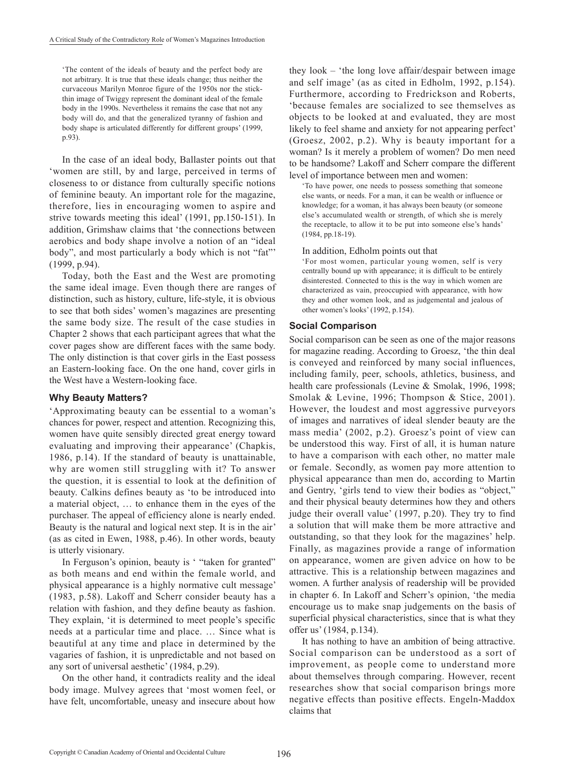'The content of the ideals of beauty and the perfect body are not arbitrary. It is true that these ideals change; thus neither the curvaceous Marilyn Monroe figure of the 1950s nor the stickthin image of Twiggy represent the dominant ideal of the female body in the 1990s. Nevertheless it remains the case that not any body will do, and that the generalized tyranny of fashion and body shape is articulated differently for different groups' (1999, p.93).

In the case of an ideal body, Ballaster points out that 'women are still, by and large, perceived in terms of closeness to or distance from culturally specific notions of feminine beauty. An important role for the magazine, therefore, lies in encouraging women to aspire and strive towards meeting this ideal' (1991, pp.150-151). In addition, Grimshaw claims that 'the connections between aerobics and body shape involve a notion of an "ideal body", and most particularly a body which is not "fat"' (1999, p.94).

Today, both the East and the West are promoting the same ideal image. Even though there are ranges of distinction, such as history, culture, life-style, it is obvious to see that both sides' women's magazines are presenting the same body size. The result of the case studies in Chapter 2 shows that each participant agrees that what the cover pages show are different faces with the same body. The only distinction is that cover girls in the East possess an Eastern-looking face. On the one hand, cover girls in the West have a Western-looking face.

## **Why Beauty Matters?**

'Approximating beauty can be essential to a woman's chances for power, respect and attention. Recognizing this, women have quite sensibly directed great energy toward evaluating and improving their appearance' (Chapkis, 1986, p.14). If the standard of beauty is unattainable, why are women still struggling with it? To answer the question, it is essential to look at the definition of beauty. Calkins defines beauty as 'to be introduced into a material object, … to enhance them in the eyes of the purchaser. The appeal of efficiency alone is nearly ended. Beauty is the natural and logical next step. It is in the air' (as as cited in Ewen, 1988, p.46). In other words, beauty is utterly visionary.

In Ferguson's opinion, beauty is ' "taken for granted" as both means and end within the female world, and physical appearance is a highly normative cult message' (1983, p.58). Lakoff and Scherr consider beauty has a relation with fashion, and they define beauty as fashion. They explain, 'it is determined to meet people's specific needs at a particular time and place. … Since what is beautiful at any time and place in determined by the vagaries of fashion, it is unpredictable and not based on any sort of universal aesthetic' (1984, p.29).

On the other hand, it contradicts reality and the ideal body image. Mulvey agrees that 'most women feel, or have felt, uncomfortable, uneasy and insecure about how

they look – 'the long love affair/despair between image and self image' (as as cited in Edholm, 1992, p.154). Furthermore, according to Fredrickson and Roberts, 'because females are socialized to see themselves as objects to be looked at and evaluated, they are most likely to feel shame and anxiety for not appearing perfect' (Groesz, 2002, p.2). Why is beauty important for a woman? Is it merely a problem of women? Do men need to be handsome? Lakoff and Scherr compare the different level of importance between men and women:

'To have power, one needs to possess something that someone else wants, or needs. For a man, it can be wealth or influence or knowledge; for a woman, it has always been beauty (or someone else's accumulated wealth or strength, of which she is merely the receptacle, to allow it to be put into someone else's hands' (1984, pp.18-19).

#### In addition, Edholm points out that

'For most women, particular young women, self is very centrally bound up with appearance; it is difficult to be entirely disinterested. Connected to this is the way in which women are characterized as vain, preoccupied with appearance, with how they and other women look, and as judgemental and jealous of other women's looks' (1992, p.154).

#### **Social Comparison**

Social comparison can be seen as one of the major reasons for magazine reading. According to Groesz, 'the thin deal is conveyed and reinforced by many social influences, including family, peer, schools, athletics, business, and health care professionals (Levine & Smolak, 1996, 1998; Smolak & Levine, 1996; Thompson & Stice, 2001). However, the loudest and most aggressive purveyors of images and narratives of ideal slender beauty are the mass media' (2002, p.2). Groesz's point of view can be understood this way. First of all, it is human nature to have a comparison with each other, no matter male or female. Secondly, as women pay more attention to physical appearance than men do, according to Martin and Gentry, 'girls tend to view their bodies as "object," and their physical beauty determines how they and others judge their overall value' (1997, p.20). They try to find a solution that will make them be more attractive and outstanding, so that they look for the magazines' help. Finally, as magazines provide a range of information on appearance, women are given advice on how to be attractive. This is a relationship between magazines and women. A further analysis of readership will be provided in chapter 6. In Lakoff and Scherr's opinion, 'the media encourage us to make snap judgements on the basis of superficial physical characteristics, since that is what they offer us' (1984, p.134).

It has nothing to have an ambition of being attractive. Social comparison can be understood as a sort of improvement, as people come to understand more about themselves through comparing. However, recent researches show that social comparison brings more negative effects than positive effects. Engeln-Maddox claims that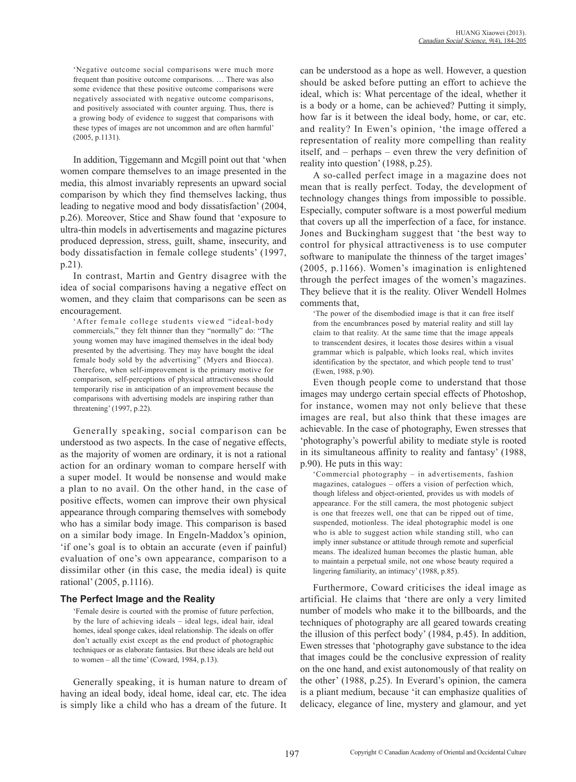'Negative outcome social comparisons were much more frequent than positive outcome comparisons. … There was also some evidence that these positive outcome comparisons were negatively associated with negative outcome comparisons, and positively associated with counter arguing. Thus, there is a growing body of evidence to suggest that comparisons with these types of images are not uncommon and are often harmful' (2005, p.1131).

In addition, Tiggemann and Mcgill point out that 'when women compare themselves to an image presented in the media, this almost invariably represents an upward social comparison by which they find themselves lacking, thus leading to negative mood and body dissatisfaction' (2004, p.26). Moreover, Stice and Shaw found that 'exposure to ultra-thin models in advertisements and magazine pictures produced depression, stress, guilt, shame, insecurity, and body dissatisfaction in female college students' (1997, p.21).

In contrast, Martin and Gentry disagree with the idea of social comparisons having a negative effect on women, and they claim that comparisons can be seen as encouragement.

'After female college students viewed "ideal-body commercials," they felt thinner than they "normally" do: "The young women may have imagined themselves in the ideal body presented by the advertising. They may have bought the ideal female body sold by the advertising" (Myers and Biocca). Therefore, when self-improvement is the primary motive for comparison, self-perceptions of physical attractiveness should temporarily rise in anticipation of an improvement because the comparisons with advertising models are inspiring rather than threatening' (1997, p.22).

Generally speaking, social comparison can be understood as two aspects. In the case of negative effects, as the majority of women are ordinary, it is not a rational action for an ordinary woman to compare herself with a super model. It would be nonsense and would make a plan to no avail. On the other hand, in the case of positive effects, women can improve their own physical appearance through comparing themselves with somebody who has a similar body image. This comparison is based on a similar body image. In Engeln-Maddox's opinion, 'if one's goal is to obtain an accurate (even if painful) evaluation of one's own appearance, comparison to a dissimilar other (in this case, the media ideal) is quite rational' (2005, p.1116).

#### **The Perfect Image and the Reality**

'Female desire is courted with the promise of future perfection, by the lure of achieving ideals – ideal legs, ideal hair, ideal homes, ideal sponge cakes, ideal relationship. The ideals on offer don't actually exist except as the end product of photographic techniques or as elaborate fantasies. But these ideals are held out to women – all the time' (Coward, 1984, p.13).

Generally speaking, it is human nature to dream of having an ideal body, ideal home, ideal car, etc. The idea is simply like a child who has a dream of the future. It can be understood as a hope as well. However, a question should be asked before putting an effort to achieve the ideal, which is: What percentage of the ideal, whether it is a body or a home, can be achieved? Putting it simply, how far is it between the ideal body, home, or car, etc. and reality? In Ewen's opinion, 'the image offered a representation of reality more compelling than reality itself, and – perhaps – even threw the very definition of reality into question' (1988, p.25).

A so-called perfect image in a magazine does not mean that is really perfect. Today, the development of technology changes things from impossible to possible. Especially, computer software is a most powerful medium that covers up all the imperfection of a face, for instance. Jones and Buckingham suggest that 'the best way to control for physical attractiveness is to use computer software to manipulate the thinness of the target images' (2005, p.1166). Women's imagination is enlightened through the perfect images of the women's magazines. They believe that it is the reality. Oliver Wendell Holmes comments that,

'The power of the disembodied image is that it can free itself from the encumbrances posed by material reality and still lay claim to that reality. At the same time that the image appeals to transcendent desires, it locates those desires within a visual grammar which is palpable, which looks real, which invites identification by the spectator, and which people tend to trust' (Ewen, 1988, p.90).

Even though people come to understand that those images may undergo certain special effects of Photoshop, for instance, women may not only believe that these images are real, but also think that these images are achievable. In the case of photography, Ewen stresses that 'photography's powerful ability to mediate style is rooted in its simultaneous affinity to reality and fantasy' (1988, p.90). He puts in this way:

'Commercial photography – in advertisements, fashion magazines, catalogues – offers a vision of perfection which, though lifeless and object-oriented, provides us with models of appearance. For the still camera, the most photogenic subject is one that freezes well, one that can be ripped out of time, suspended, motionless. The ideal photographic model is one who is able to suggest action while standing still, who can imply inner substance or attitude through remote and superficial means. The idealized human becomes the plastic human, able to maintain a perpetual smile, not one whose beauty required a lingering familiarity, an intimacy' (1988, p.85).

Furthermore, Coward criticises the ideal image as artificial. He claims that 'there are only a very limited number of models who make it to the billboards, and the techniques of photography are all geared towards creating the illusion of this perfect body' (1984, p.45). In addition, Ewen stresses that 'photography gave substance to the idea that images could be the conclusive expression of reality on the one hand, and exist autonomously of that reality on the other' (1988, p.25). In Everard's opinion, the camera is a pliant medium, because 'it can emphasize qualities of delicacy, elegance of line, mystery and glamour, and yet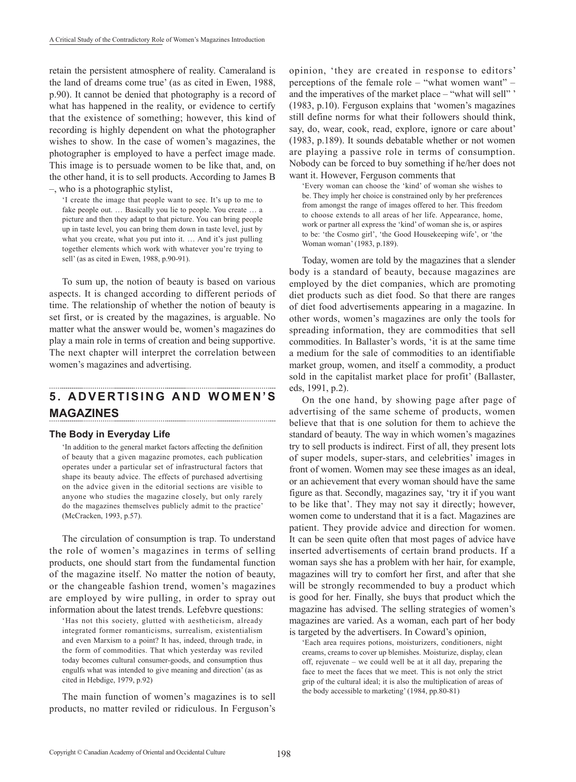retain the persistent atmosphere of reality. Cameraland is the land of dreams come true' (as as cited in Ewen, 1988, p.90). It cannot be denied that photography is a record of what has happened in the reality, or evidence to certify that the existence of something; however, this kind of recording is highly dependent on what the photographer wishes to show. In the case of women's magazines, the photographer is employed to have a perfect image made. This image is to persuade women to be like that, and, on the other hand, it is to sell products. According to James B –, who is a photographic stylist,

'I create the image that people want to see. It's up to me to fake people out. … Basically you lie to people. You create … a picture and then they adapt to that picture. You can bring people up in taste level, you can bring them down in taste level, just by what you create, what you put into it. ... And it's just pulling together elements which work with whatever you're trying to sell' (as as cited in Ewen, 1988, p.90-91).

To sum up, the notion of beauty is based on various aspects. It is changed according to different periods of time. The relationship of whether the notion of beauty is set first, or is created by the magazines, is arguable. No matter what the answer would be, women's magazines do play a main role in terms of creation and being supportive. The next chapter will interpret the correlation between women's magazines and advertising.

# **5 . A D V E R T I S I N G A N D W O M E N ' S MAGAZINES**

## **The Body in Everyday Life**

'In addition to the general market factors affecting the definition of beauty that a given magazine promotes, each publication operates under a particular set of infrastructural factors that shape its beauty advice. The effects of purchased advertising on the advice given in the editorial sections are visible to anyone who studies the magazine closely, but only rarely do the magazines themselves publicly admit to the practice' (McCracken, 1993, p.57).

The circulation of consumption is trap. To understand the role of women's magazines in terms of selling products, one should start from the fundamental function of the magazine itself. No matter the notion of beauty, or the changeable fashion trend, women's magazines are employed by wire pulling, in order to spray out information about the latest trends. Lefebvre questions:

'Has not this society, glutted with aestheticism, already integrated former romanticisms, surrealism, existentialism and even Marxism to a point? It has, indeed, through trade, in the form of commodities. That which yesterday was reviled today becomes cultural consumer-goods, and consumption thus engulfs what was intended to give meaning and direction' (as as cited in Hebdige, 1979, p.92)

The main function of women's magazines is to sell products, no matter reviled or ridiculous. In Ferguson's

opinion, 'they are created in response to editors' perceptions of the female role – "what women want" – and the imperatives of the market place – "what will sell" ' (1983, p.10). Ferguson explains that 'women's magazines still define norms for what their followers should think, say, do, wear, cook, read, explore, ignore or care about' (1983, p.189). It sounds debatable whether or not women are playing a passive role in terms of consumption. Nobody can be forced to buy something if he/her does not want it. However, Ferguson comments that

'Every woman can choose the 'kind' of woman she wishes to be. They imply her choice is constrained only by her preferences from amongst the range of images offered to her. This freedom to choose extends to all areas of her life. Appearance, home, work or partner all express the 'kind' of woman she is, or aspires to be: 'the Cosmo girl', 'the Good Housekeeping wife', or 'the Woman woman' (1983, p.189).

Today, women are told by the magazines that a slender body is a standard of beauty, because magazines are employed by the diet companies, which are promoting diet products such as diet food. So that there are ranges of diet food advertisements appearing in a magazine. In other words, women's magazines are only the tools for spreading information, they are commodities that sell commodities. In Ballaster's words, 'it is at the same time a medium for the sale of commodities to an identifiable market group, women, and itself a commodity, a product sold in the capitalist market place for profit' (Ballaster, eds, 1991, p.2).

On the one hand, by showing page after page of advertising of the same scheme of products, women believe that that is one solution for them to achieve the standard of beauty. The way in which women's magazines try to sell products is indirect. First of all, they present lots of super models, super-stars, and celebrities' images in front of women. Women may see these images as an ideal, or an achievement that every woman should have the same figure as that. Secondly, magazines say, 'try it if you want to be like that'. They may not say it directly; however, women come to understand that it is a fact. Magazines are patient. They provide advice and direction for women. It can be seen quite often that most pages of advice have inserted advertisements of certain brand products. If a woman says she has a problem with her hair, for example, magazines will try to comfort her first, and after that she will be strongly recommended to buy a product which is good for her. Finally, she buys that product which the magazine has advised. The selling strategies of women's magazines are varied. As a woman, each part of her body is targeted by the advertisers. In Coward's opinion,

'Each area requires potions, moisturizers, conditioners, night creams, creams to cover up blemishes. Moisturize, display, clean off, rejuvenate – we could well be at it all day, preparing the face to meet the faces that we meet. This is not only the strict grip of the cultural ideal; it is also the multiplication of areas of the body accessible to marketing' (1984, pp.80-81)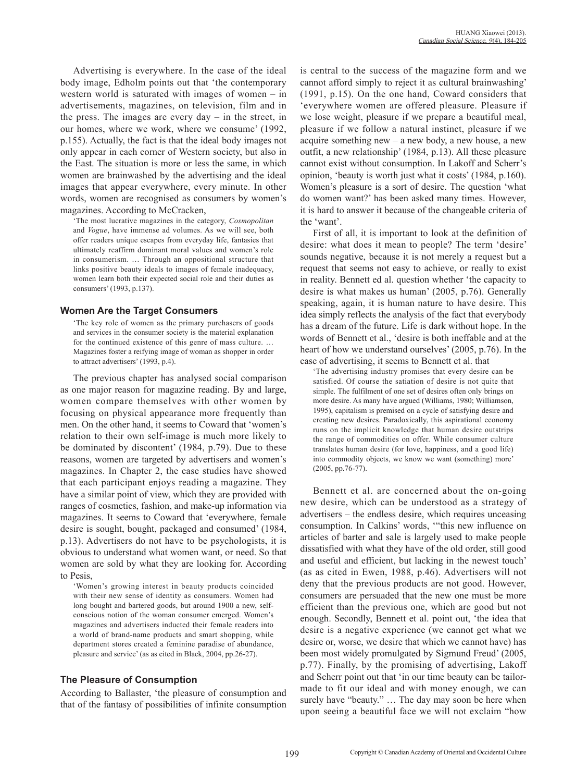Advertising is everywhere. In the case of the ideal body image, Edholm points out that 'the contemporary western world is saturated with images of women – in advertisements, magazines, on television, film and in the press. The images are every day – in the street, in our homes, where we work, where we consume' (1992, p.155). Actually, the fact is that the ideal body images not only appear in each corner of Western society, but also in the East. The situation is more or less the same, in which women are brainwashed by the advertising and the ideal images that appear everywhere, every minute. In other words, women are recognised as consumers by women's magazines. According to McCracken,

'The most lucrative magazines in the category, *Cosmopolitan* and *Vogue*, have immense ad volumes. As we will see, both offer readers unique escapes from everyday life, fantasies that ultimately reaffirm dominant moral values and women's role in consumerism. … Through an oppositional structure that links positive beauty ideals to images of female inadequacy, women learn both their expected social role and their duties as consumers' (1993, p.137).

## **Women Are the Target Consumers**

'The key role of women as the primary purchasers of goods and services in the consumer society is the material explanation for the continued existence of this genre of mass culture. … Magazines foster a reifying image of woman as shopper in order to attract advertisers' (1993, p.4).

The previous chapter has analysed social comparison as one major reason for magazine reading. By and large, women compare themselves with other women by focusing on physical appearance more frequently than men. On the other hand, it seems to Coward that 'women's relation to their own self-image is much more likely to be dominated by discontent' (1984, p.79). Due to these reasons, women are targeted by advertisers and women's magazines. In Chapter 2, the case studies have showed that each participant enjoys reading a magazine. They have a similar point of view, which they are provided with ranges of cosmetics, fashion, and make-up information via magazines. It seems to Coward that 'everywhere, female desire is sought, bought, packaged and consumed' (1984, p.13). Advertisers do not have to be psychologists, it is obvious to understand what women want, or need. So that women are sold by what they are looking for. According to Pesis,

'Women's growing interest in beauty products coincided with their new sense of identity as consumers. Women had long bought and bartered goods, but around 1900 a new, selfconscious notion of the woman consumer emerged. Women's magazines and advertisers inducted their female readers into a world of brand-name products and smart shopping, while department stores created a feminine paradise of abundance, pleasure and service' (as as cited in Black, 2004, pp.26-27).

## **The Pleasure of Consumption**

According to Ballaster, 'the pleasure of consumption and that of the fantasy of possibilities of infinite consumption is central to the success of the magazine form and we cannot afford simply to reject it as cultural brainwashing' (1991, p.15). On the one hand, Coward considers that 'everywhere women are offered pleasure. Pleasure if we lose weight, pleasure if we prepare a beautiful meal, pleasure if we follow a natural instinct, pleasure if we acquire something new – a new body, a new house, a new outfit, a new relationship' (1984, p.13). All these pleasure cannot exist without consumption. In Lakoff and Scherr's opinion, 'beauty is worth just what it costs' (1984, p.160). Women's pleasure is a sort of desire. The question 'what do women want?' has been asked many times. However, it is hard to answer it because of the changeable criteria of the 'want'.

First of all, it is important to look at the definition of desire: what does it mean to people? The term 'desire' sounds negative, because it is not merely a request but a request that seems not easy to achieve, or really to exist in reality. Bennett ed al. question whether 'the capacity to desire is what makes us human' (2005, p.76). Generally speaking, again, it is human nature to have desire. This idea simply reflects the analysis of the fact that everybody has a dream of the future. Life is dark without hope. In the words of Bennett et al., 'desire is both ineffable and at the heart of how we understand ourselves' (2005, p.76). In the case of advertising, it seems to Bennett et al. that

'The advertising industry promises that every desire can be satisfied. Of course the satiation of desire is not quite that simple. The fulfilment of one set of desires often only brings on more desire. As many have argued (Williams, 1980; Williamson, 1995), capitalism is premised on a cycle of satisfying desire and creating new desires. Paradoxically, this aspirational economy runs on the implicit knowledge that human desire outstrips the range of commodities on offer. While consumer culture translates human desire (for love, happiness, and a good life) into commodity objects, we know we want (something) more' (2005, pp.76-77).

Bennett et al. are concerned about the on-going new desire, which can be understood as a strategy of advertisers – the endless desire, which requires unceasing consumption. In Calkins' words, '"this new influence on articles of barter and sale is largely used to make people dissatisfied with what they have of the old order, still good and useful and efficient, but lacking in the newest touch' (as as cited in Ewen, 1988, p.46). Advertisers will not deny that the previous products are not good. However, consumers are persuaded that the new one must be more efficient than the previous one, which are good but not enough. Secondly, Bennett et al. point out, 'the idea that desire is a negative experience (we cannot get what we desire or, worse, we desire that which we cannot have) has been most widely promulgated by Sigmund Freud' (2005, p.77). Finally, by the promising of advertising, Lakoff and Scherr point out that 'in our time beauty can be tailormade to fit our ideal and with money enough, we can surely have "beauty." ... The day may soon be here when upon seeing a beautiful face we will not exclaim "how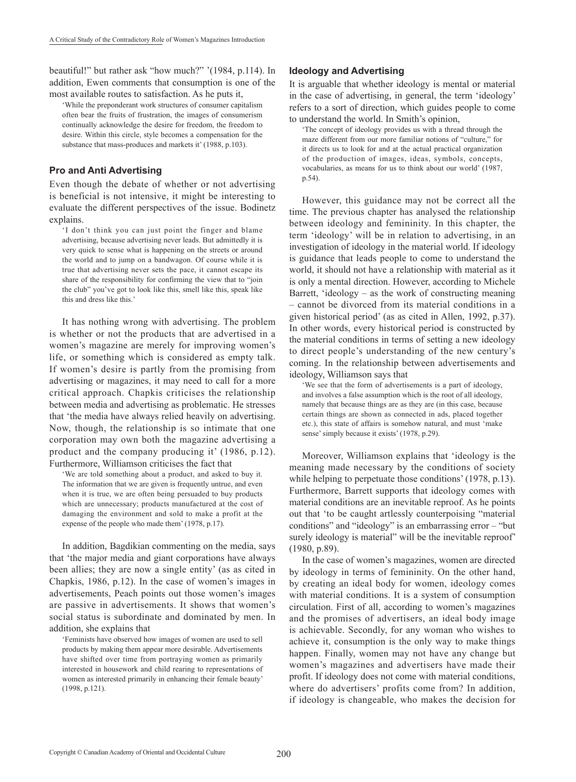beautiful!" but rather ask "how much?" '(1984, p.114). In addition, Ewen comments that consumption is one of the most available routes to satisfaction. As he puts it,

'While the preponderant work structures of consumer capitalism often bear the fruits of frustration, the images of consumerism continually acknowledge the desire for freedom, the freedom to desire. Within this circle, style becomes a compensation for the substance that mass-produces and markets it' (1988, p.103).

## **Pro and Anti Advertising**

Even though the debate of whether or not advertising is beneficial is not intensive, it might be interesting to evaluate the different perspectives of the issue. Bodinetz explains.

'I don't think you can just point the finger and blame advertising, because advertising never leads. But admittedly it is very quick to sense what is happening on the streets or around the world and to jump on a bandwagon. Of course while it is true that advertising never sets the pace, it cannot escape its share of the responsibility for confirming the view that to "join the club" you've got to look like this, smell like this, speak like this and dress like this.'

It has nothing wrong with advertising. The problem is whether or not the products that are advertised in a women's magazine are merely for improving women's life, or something which is considered as empty talk. If women's desire is partly from the promising from advertising or magazines, it may need to call for a more critical approach. Chapkis criticises the relationship between media and advertising as problematic. He stresses that 'the media have always relied heavily on advertising. Now, though, the relationship is so intimate that one corporation may own both the magazine advertising a product and the company producing it' (1986, p.12). Furthermore, Williamson criticises the fact that

'We are told something about a product, and asked to buy it. The information that we are given is frequently untrue, and even when it is true, we are often being persuaded to buy products which are unnecessary; products manufactured at the cost of damaging the environment and sold to make a profit at the expense of the people who made them' (1978, p.17).

In addition, Bagdikian commenting on the media, says that 'the major media and giant corporations have always been allies; they are now a single entity' (as as cited in Chapkis, 1986, p.12). In the case of women's images in advertisements, Peach points out those women's images are passive in advertisements. It shows that women's social status is subordinate and dominated by men. In addition, she explains that

'Feminists have observed how images of women are used to sell products by making them appear more desirable. Advertisements have shifted over time from portraying women as primarily interested in housework and child rearing to representations of women as interested primarily in enhancing their female beauty' (1998, p.121).

## **Ideology and Advertising**

It is arguable that whether ideology is mental or material in the case of advertising, in general, the term 'ideology' refers to a sort of direction, which guides people to come to understand the world. In Smith's opinion,

'The concept of ideology provides us with a thread through the maze different from our more familiar notions of "culture," for it directs us to look for and at the actual practical organization of the production of images, ideas, symbols, concepts, vocabularies, as means for us to think about our world' (1987, p.54).

However, this guidance may not be correct all the time. The previous chapter has analysed the relationship between ideology and femininity. In this chapter, the term 'ideology' will be in relation to advertising, in an investigation of ideology in the material world. If ideology is guidance that leads people to come to understand the world, it should not have a relationship with material as it is only a mental direction. However, according to Michele Barrett, 'ideology – as the work of constructing meaning – cannot be divorced from its material conditions in a given historical period' (as as cited in Allen, 1992, p.37). In other words, every historical period is constructed by the material conditions in terms of setting a new ideology to direct people's understanding of the new century's coming. In the relationship between advertisements and ideology, Williamson says that

'We see that the form of advertisements is a part of ideology, and involves a false assumption which is the root of all ideology, namely that because things are as they are (in this case, because certain things are shown as connected in ads, placed together etc.), this state of affairs is somehow natural, and must 'make sense' simply because it exists' (1978, p.29).

Moreover, Williamson explains that 'ideology is the meaning made necessary by the conditions of society while helping to perpetuate those conditions' (1978, p.13). Furthermore, Barrett supports that ideology comes with material conditions are an inevitable reproof. As he points out that 'to be caught artlessly counterpoising "material conditions" and "ideology" is an embarrassing error – "but surely ideology is material" will be the inevitable reproof' (1980, p.89).

In the case of women's magazines, women are directed by ideology in terms of femininity. On the other hand, by creating an ideal body for women, ideology comes with material conditions. It is a system of consumption circulation. First of all, according to women's magazines and the promises of advertisers, an ideal body image is achievable. Secondly, for any woman who wishes to achieve it, consumption is the only way to make things happen. Finally, women may not have any change but women's magazines and advertisers have made their profit. If ideology does not come with material conditions, where do advertisers' profits come from? In addition, if ideology is changeable, who makes the decision for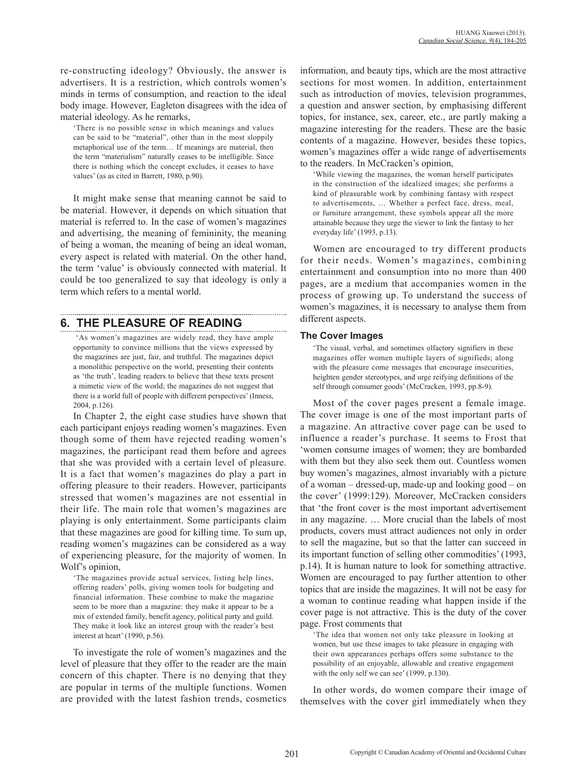re-constructing ideology? Obviously, the answer is advertisers. It is a restriction, which controls women's minds in terms of consumption, and reaction to the ideal body image. However, Eagleton disagrees with the idea of material ideology. As he remarks,

'There is no possible sense in which meanings and values can be said to be "material", other than in the most sloppily metaphorical use of the term… If meanings are material, then the term "materialism" naturally ceases to be intelligible. Since there is nothing which the concept excludes, it ceases to have values' (as as cited in Barrett, 1980, p.90).

It might make sense that meaning cannot be said to be material. However, it depends on which situation that material is referred to. In the case of women's magazines and advertising, the meaning of femininity, the meaning of being a woman, the meaning of being an ideal woman, every aspect is related with material. On the other hand, the term 'value' is obviously connected with material. It could be too generalized to say that ideology is only a term which refers to a mental world.

## **6. THE PLEASURE OF READING**

 'As women's magazines are widely read, they have ample opportunity to convince millions that the views expressed by the magazines are just, fair, and truthful. The magazines depict a monolithic perspective on the world, presenting their contents as 'the truth', leading readers to believe that these texts present a mimetic view of the world; the magazines do not suggest that there is a world full of people with different perspectives' (Inness, 2004, p.126).

In Chapter 2, the eight case studies have shown that each participant enjoys reading women's magazines. Even though some of them have rejected reading women's magazines, the participant read them before and agrees that she was provided with a certain level of pleasure. It is a fact that women's magazines do play a part in offering pleasure to their readers. However, participants stressed that women's magazines are not essential in their life. The main role that women's magazines are playing is only entertainment. Some participants claim that these magazines are good for killing time. To sum up, reading women's magazines can be considered as a way of experiencing pleasure, for the majority of women. In Wolf's opinion,

'The magazines provide actual services, listing help lines, offering readers' polls, giving women tools for budgeting and financial information. These combine to make the magazine seem to be more than a magazine: they make it appear to be a mix of extended family, benefit agency, political party and guild. They make it look like an interest group with the reader's best interest at heart' (1990, p.56).

To investigate the role of women's magazines and the level of pleasure that they offer to the reader are the main concern of this chapter. There is no denying that they are popular in terms of the multiple functions. Women are provided with the latest fashion trends, cosmetics information, and beauty tips, which are the most attractive sections for most women. In addition, entertainment such as introduction of movies, television programmes, a question and answer section, by emphasising different topics, for instance, sex, career, etc., are partly making a magazine interesting for the readers. These are the basic contents of a magazine. However, besides these topics, women's magazines offer a wide range of advertisements to the readers. In McCracken's opinion,

'While viewing the magazines, the woman herself participates in the construction of the idealized images; she performs a kind of pleasurable work by combining fantasy with respect to advertisements, … Whether a perfect face, dress, meal, or furniture arrangement, these symbols appear all the more attainable because they urge the viewer to link the fantasy to her everyday life' (1993, p.13).

Women are encouraged to try different products for their needs. Women's magazines, combining entertainment and consumption into no more than 400 pages, are a medium that accompanies women in the process of growing up. To understand the success of women's magazines, it is necessary to analyse them from different aspects.

## **The Cover Images**

'The visual, verbal, and sometimes olfactory signifiers in these magazines offer women multiple layers of signifieds; along with the pleasure come messages that encourage insecurities, heighten gender stereotypes, and urge reifying definitions of the self through consumer goods' (McCracken, 1993, pp.8-9).

Most of the cover pages present a female image. The cover image is one of the most important parts of a magazine. An attractive cover page can be used to influence a reader's purchase. It seems to Frost that 'women consume images of women; they are bombarded with them but they also seek them out. Countless women buy women's magazines, almost invariably with a picture of a woman – dressed-up, made-up and looking good – on the cover' (1999:129). Moreover, McCracken considers that 'the front cover is the most important advertisement in any magazine. … More crucial than the labels of most products, covers must attract audiences not only in order to sell the magazine, but so that the latter can succeed in its important function of selling other commodities' (1993, p.14). It is human nature to look for something attractive. Women are encouraged to pay further attention to other topics that are inside the magazines. It will not be easy for a woman to continue reading what happen inside if the cover page is not attractive. This is the duty of the cover page. Frost comments that

'The idea that women not only take pleasure in looking at women, but use these images to take pleasure in engaging with their own appearances perhaps offers some substance to the possibility of an enjoyable, allowable and creative engagement with the only self we can see' (1999, p.130).

In other words, do women compare their image of themselves with the cover girl immediately when they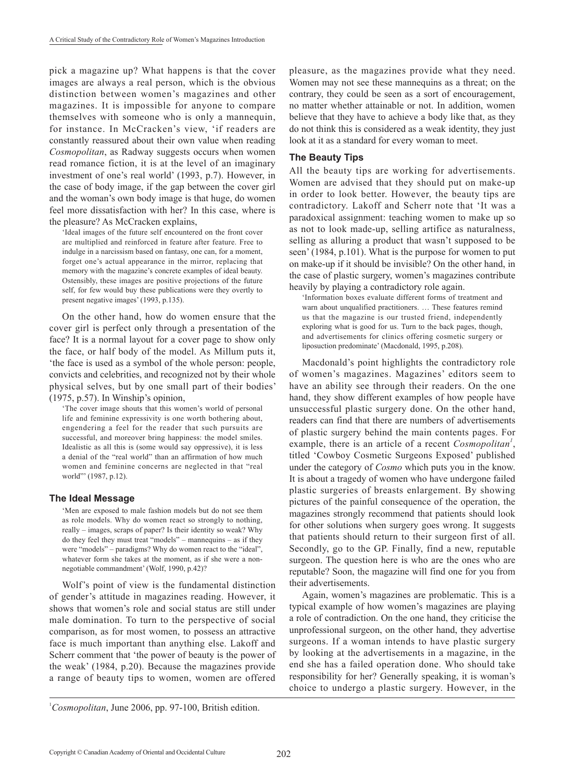pick a magazine up? What happens is that the cover images are always a real person, which is the obvious distinction between women's magazines and other magazines. It is impossible for anyone to compare themselves with someone who is only a mannequin, for instance. In McCracken's view, 'if readers are constantly reassured about their own value when reading *Cosmopolitan*, as Radway suggests occurs when women read romance fiction, it is at the level of an imaginary investment of one's real world' (1993, p.7). However, in the case of body image, if the gap between the cover girl and the woman's own body image is that huge, do women feel more dissatisfaction with her? In this case, where is the pleasure? As McCracken explains,

'Ideal images of the future self encountered on the front cover are multiplied and reinforced in feature after feature. Free to indulge in a narcissism based on fantasy, one can, for a moment, forget one's actual appearance in the mirror, replacing that memory with the magazine's concrete examples of ideal beauty. Ostensibly, these images are positive projections of the future self, for few would buy these publications were they overtly to present negative images' (1993, p.135).

On the other hand, how do women ensure that the cover girl is perfect only through a presentation of the face? It is a normal layout for a cover page to show only the face, or half body of the model. As Millum puts it, 'the face is used as a symbol of the whole person: people, convicts and celebrities, and recognized not by their whole physical selves, but by one small part of their bodies' (1975, p.57). In Winship's opinion,

'The cover image shouts that this women's world of personal life and feminine expressivity is one worth bothering about, engendering a feel for the reader that such pursuits are successful, and moreover bring happiness: the model smiles. Idealistic as all this is (some would say oppressive), it is less a denial of the "real world" than an affirmation of how much women and feminine concerns are neglected in that "real world"' (1987, p.12).

## **The Ideal Message**

'Men are exposed to male fashion models but do not see them as role models. Why do women react so strongly to nothing, really – images, scraps of paper? Is their identity so weak? Why do they feel they must treat "models" – mannequins – as if they were "models" – paradigms? Why do women react to the "ideal", whatever form she takes at the moment, as if she were a nonnegotiable commandment' (Wolf, 1990, p.42)?

Wolf's point of view is the fundamental distinction of gender's attitude in magazines reading. However, it shows that women's role and social status are still under male domination. To turn to the perspective of social comparison, as for most women, to possess an attractive face is much important than anything else. Lakoff and Scherr comment that 'the power of beauty is the power of the weak' (1984, p.20). Because the magazines provide a range of beauty tips to women, women are offered

pleasure, as the magazines provide what they need. Women may not see these mannequins as a threat; on the contrary, they could be seen as a sort of encouragement, no matter whether attainable or not. In addition, women believe that they have to achieve a body like that, as they do not think this is considered as a weak identity, they just look at it as a standard for every woman to meet.

## **The Beauty Tips**

All the beauty tips are working for advertisements. Women are advised that they should put on make-up in order to look better. However, the beauty tips are contradictory. Lakoff and Scherr note that 'It was a paradoxical assignment: teaching women to make up so as not to look made-up, selling artifice as naturalness, selling as alluring a product that wasn't supposed to be seen' (1984, p.101). What is the purpose for women to put on make-up if it should be invisible? On the other hand, in the case of plastic surgery, women's magazines contribute heavily by playing a contradictory role again.

'Information boxes evaluate different forms of treatment and warn about unqualified practitioners. … These features remind us that the magazine is our trusted friend, independently exploring what is good for us. Turn to the back pages, though, and advertisements for clinics offering cosmetic surgery or liposuction predominate' (Macdonald, 1995, p.208).

Macdonald's point highlights the contradictory role of women's magazines. Magazines' editors seem to have an ability see through their readers. On the one hand, they show different examples of how people have unsuccessful plastic surgery done. On the other hand, readers can find that there are numbers of advertisements of plastic surgery behind the main contents pages. For example, there is an article of a recent *Cosmopolitan<sup>1</sup>* , titled 'Cowboy Cosmetic Surgeons Exposed' published under the category of *Cosmo* which puts you in the know. It is about a tragedy of women who have undergone failed plastic surgeries of breasts enlargement. By showing pictures of the painful consequence of the operation, the magazines strongly recommend that patients should look for other solutions when surgery goes wrong. It suggests that patients should return to their surgeon first of all. Secondly, go to the GP. Finally, find a new, reputable surgeon. The question here is who are the ones who are reputable? Soon, the magazine will find one for you from their advertisements.

Again, women's magazines are problematic. This is a typical example of how women's magazines are playing a role of contradiction. On the one hand, they criticise the unprofessional surgeon, on the other hand, they advertise surgeons. If a woman intends to have plastic surgery by looking at the advertisements in a magazine, in the end she has a failed operation done. Who should take responsibility for her? Generally speaking, it is woman's choice to undergo a plastic surgery. However, in the

<sup>&</sup>lt;sup>1</sup>Cosmopolitan, June 2006, pp. 97-100, British edition.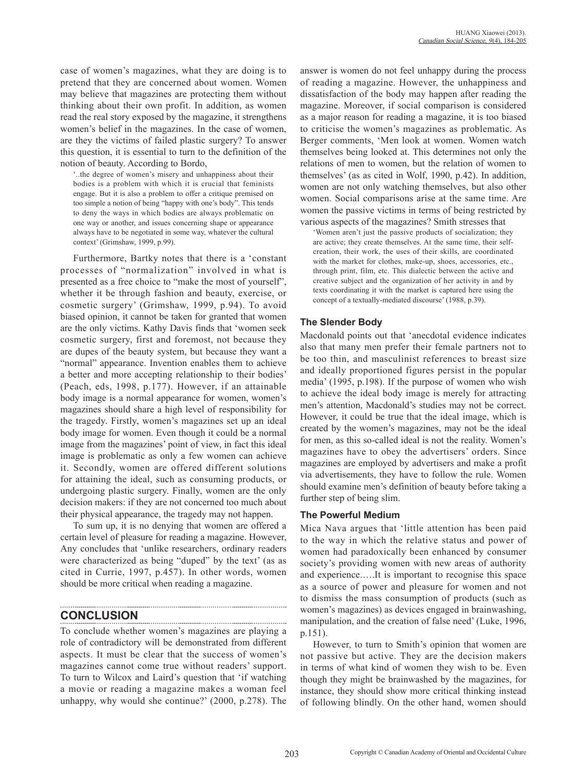case of women's magazines, what they are doing is to pretend that they are concerned about women. Women may believe that magazines are protecting them without thinking about their own profit. In addition, as women read the real story exposed by the magazine, it strengthens women's belief in the magazines. In the case of women, are they the victims of failed plastic surgery? To answer this question, it is essential to turn to the definition of the notion of beauty. According to Bordo,

'..the degree of women's misery and unhappiness about their bodies is a problem with which it is crucial that feminists engage. But it is also a problem to offer a critique premised on too simple a notion of being "happy with one's body". This tends to deny the ways in which bodies are always problematic on one way or another, and issues concerning shape or appearance always have to be negotiated in some way, whatever the cultural context' (Grimshaw, 1999, p.99).

Furthermore, Bartky notes that there is a 'constant processes of "normalization" involved in what is presented as a free choice to "make the most of yourself", whether it be through fashion and beauty, exercise, or cosmetic surgery' (Grimshaw, 1999, p.94). To avoid biased opinion, it cannot be taken for granted that women are the only victims. Kathy Davis finds that 'women seek cosmetic surgery, first and foremost, not because they are dupes of the beauty system, but because they want a "normal" appearance. Invention enables them to achieve a better and more accepting relationship to their bodies' (Peach, eds, 1998, p.177). However, if an attainable body image is a normal appearance for women, women's magazines should share a high level of responsibility for the tragedy. Firstly, women's magazines set up an ideal body image for women. Even though it could be a normal image from the magazines' point of view, in fact this ideal image is problematic as only a few women can achieve it. Secondly, women are offered different solutions for attaining the ideal, such as consuming products, or undergoing plastic surgery. Finally, women are the only decision makers: if they are not concerned too much about their physical appearance, the tragedy may not happen.

To sum up, it is no denying that women are offered a certain level of pleasure for reading a magazine. However, Any concludes that 'unlike researchers, ordinary readers were characterized as being "duped" by the text' (as as cited in Currie, 1997, p.457). In other words, women should be more critical when reading a magazine.

# **CONCLUSION**

To conclude whether women's magazines are playing a role of contradictory will be demonstrated from different aspects. It must be clear that the success of women's magazines cannot come true without readers' support. To turn to Wilcox and Laird's question that 'if watching a movie or reading a magazine makes a woman feel unhappy, why would she continue?' (2000, p.278). The answer is women do not feel unhappy during the process of reading a magazine. However, the unhappiness and dissatisfaction of the body may happen after reading the magazine. Moreover, if social comparison is considered as a major reason for reading a magazine, it is too biased to criticise the women's magazines as problematic. As Berger comments, 'Men look at women. Women watch themselves being looked at. This determines not only the relations of men to women, but the relation of women to themselves' (as as cited in Wolf, 1990, p.42). In addition, women are not only watching themselves, but also other women. Social comparisons arise at the same time. Are women the passive victims in terms of being restricted by various aspects of the magazines? Smith stresses that

'Women aren't just the passive products of socialization; they are active; they create themselves. At the same time, their selfcreation, their work, the uses of their skills, are coordinated with the market for clothes, make-up, shoes, accessories, etc., through print, film, etc. This dialectic between the active and creative subject and the organization of her activity in and by texts coordinating it with the market is captured here using the concept of a textually-mediated discourse' (1988, p.39).

# **The Slender Body**

Macdonald points out that 'anecdotal evidence indicates also that many men prefer their female partners not to be too thin, and masculinist references to breast size and ideally proportioned figures persist in the popular media' (1995, p.198). If the purpose of women who wish to achieve the ideal body image is merely for attracting men's attention, Macdonald's studies may not be correct. However, it could be true that the ideal image, which is created by the women's magazines, may not be the ideal for men, as this so-called ideal is not the reality. Women's magazines have to obey the advertisers' orders. Since magazines are employed by advertisers and make a profit via advertisements, they have to follow the rule. Women should examine men's definition of beauty before taking a further step of being slim.

## **The Powerful Medium**

Mica Nava argues that 'little attention has been paid to the way in which the relative status and power of women had paradoxically been enhanced by consumer society's providing women with new areas of authority and experience.….It is important to recognise this space as a source of power and pleasure for women and not to dismiss the mass consumption of products (such as women's magazines) as devices engaged in brainwashing, manipulation, and the creation of false need' (Luke, 1996, p.151).

However, to turn to Smith's opinion that women are not passive but active. They are the decision makers in terms of what kind of women they wish to be. Even though they might be brainwashed by the magazines, for instance, they should show more critical thinking instead of following blindly. On the other hand, women should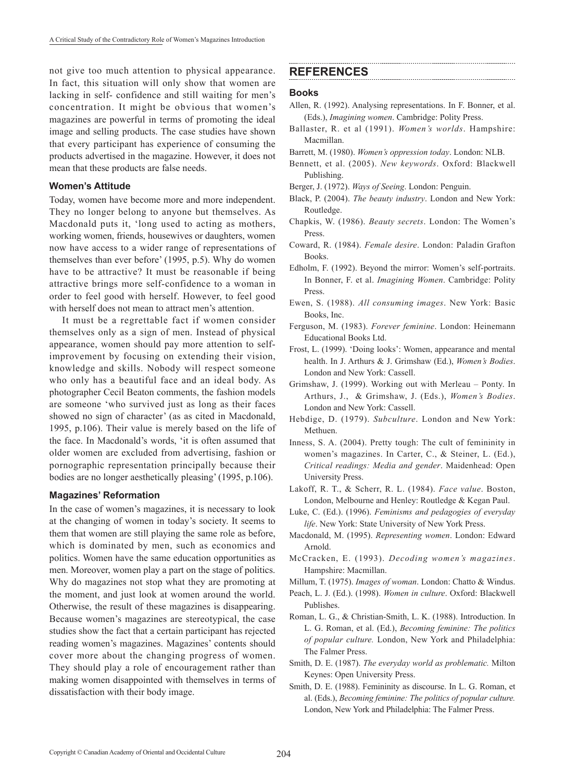not give too much attention to physical appearance. In fact, this situation will only show that women are lacking in self- confidence and still waiting for men's concentration. It might be obvious that women's magazines are powerful in terms of promoting the ideal image and selling products. The case studies have shown that every participant has experience of consuming the products advertised in the magazine. However, it does not mean that these products are false needs.

## **Women's Attitude**

Today, women have become more and more independent. They no longer belong to anyone but themselves. As Macdonald puts it, 'long used to acting as mothers, working women, friends, housewives or daughters, women now have access to a wider range of representations of themselves than ever before' (1995, p.5). Why do women have to be attractive? It must be reasonable if being attractive brings more self-confidence to a woman in order to feel good with herself. However, to feel good with herself does not mean to attract men's attention.

It must be a regrettable fact if women consider themselves only as a sign of men. Instead of physical appearance, women should pay more attention to selfimprovement by focusing on extending their vision, knowledge and skills. Nobody will respect someone who only has a beautiful face and an ideal body. As photographer Cecil Beaton comments, the fashion models are someone 'who survived just as long as their faces showed no sign of character' (as as cited in Macdonald, 1995, p.106). Their value is merely based on the life of the face. In Macdonald's words, 'it is often assumed that older women are excluded from advertising, fashion or pornographic representation principally because their bodies are no longer aesthetically pleasing' (1995, p.106).

#### **Magazines' Reformation**

In the case of women's magazines, it is necessary to look at the changing of women in today's society. It seems to them that women are still playing the same role as before, which is dominated by men, such as economics and politics. Women have the same education opportunities as men. Moreover, women play a part on the stage of politics. Why do magazines not stop what they are promoting at the moment, and just look at women around the world. Otherwise, the result of these magazines is disappearing. Because women's magazines are stereotypical, the case studies show the fact that a certain participant has rejected reading women's magazines. Magazines' contents should cover more about the changing progress of women. They should play a role of encouragement rather than making women disappointed with themselves in terms of dissatisfaction with their body image.

## **REFERENCES**

#### **Books**

- Allen, R. (1992). Analysing representations. In F. Bonner, et al. (Eds.), *Imagining women*. Cambridge: Polity Press.
- Ballaster, R. et al (1991). *Women's worlds*. Hampshire: Macmillan.
- Barrett, M. (1980). *Women's oppression today*. London: NLB.
- Bennett, et al. (2005). *New keywords*. Oxford: Blackwell Publishing.
- Berger, J. (1972). *Ways of Seeing*. London: Penguin.
- Black, P. (2004). *The beauty industry*. London and New York: Routledge.
- Chapkis, W. (1986). *Beauty secrets*. London: The Women's **Press**
- Coward, R. (1984). *Female desire*. London: Paladin Grafton Books.
- Edholm, F. (1992). Beyond the mirror: Women's self-portraits. In Bonner, F. et al. *Imagining Women*. Cambridge: Polity Press.
- Ewen, S. (1988). *All consuming images*. New York: Basic Books, Inc.
- Ferguson, M. (1983). *Forever feminine*. London: Heinemann Educational Books Ltd.
- Frost, L. (1999). 'Doing looks': Women, appearance and mental health. In J. Arthurs & J. Grimshaw (Ed.), *Women's Bodies*. London and New York: Cassell.
- Grimshaw, J. (1999). Working out with Merleau Ponty. In Arthurs, J., & Grimshaw, J. (Eds.), *Women's Bodies*. London and New York: Cassell.
- Hebdige, D. (1979). *Subculture*. London and New York: Methuen.
- Inness, S. A. (2004). Pretty tough: The cult of femininity in women's magazines. In Carter, C., & Steiner, L. (Ed.), *Critical readings: Media and gender*. Maidenhead: Open University Press.
- Lakoff, R. T., & Scherr, R. L. (1984). *Face value*. Boston, London, Melbourne and Henley: Routledge & Kegan Paul.
- Luke, C. (Ed.). (1996). *Feminisms and pedagogies of everyday life*. New York: State University of New York Press.
- Macdonald, M. (1995). *Representing women*. London: Edward Arnold.
- McCracken, E. (1993). *Decoding women's magazines*. Hampshire: Macmillan.
- Millum, T. (1975). *Images of woman*. London: Chatto & Windus.
- Peach, L. J. (Ed.). (1998). *Women in culture*. Oxford: Blackwell Publishes.
- Roman, L. G., & Christian-Smith, L. K. (1988). Introduction. In L. G. Roman, et al. (Ed.), *Becoming feminine: The politics of popular culture.* London, New York and Philadelphia: The Falmer Press.
- Smith, D. E. (1987). *The everyday world as problematic.* Milton Keynes: Open University Press.
- Smith, D. E. (1988). Femininity as discourse. In L. G. Roman, et al. (Eds.), *Becoming feminine: The politics of popular culture.* London, New York and Philadelphia: The Falmer Press.